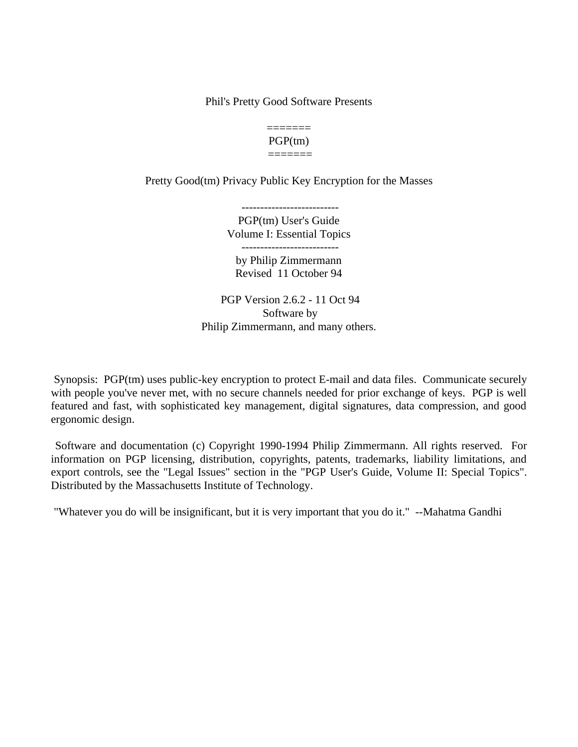Phil's Pretty Good Software Presents

### $=$ PGP(tm)  $=$

Pretty Good(tm) Privacy Public Key Encryption for the Masses

 -------------------------- PGP(tm) User's Guide Volume I: Essential Topics

by Philip Zimmermann Revised 11 October 94

--------------------------

 PGP Version 2.6.2 - 11 Oct 94 Software by Philip Zimmermann, and many others.

 Synopsis: PGP(tm) uses public-key encryption to protect E-mail and data files. Communicate securely with people you've never met, with no secure channels needed for prior exchange of keys. PGP is well featured and fast, with sophisticated key management, digital signatures, data compression, and good ergonomic design.

 Software and documentation (c) Copyright 1990-1994 Philip Zimmermann. All rights reserved. For information on PGP licensing, distribution, copyrights, patents, trademarks, liability limitations, and export controls, see the "Legal Issues" section in the "PGP User's Guide, Volume II: Special Topics". Distributed by the Massachusetts Institute of Technology.

"Whatever you do will be insignificant, but it is very important that you do it." --Mahatma Gandhi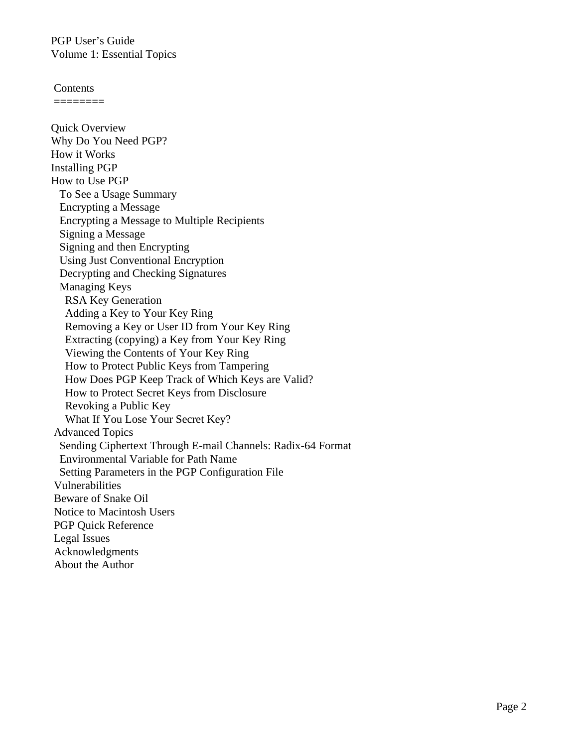Contents

========

Quick Overview Why Do You Need PGP? How it Works Installing PGP How to Use PGP To See a Usage Summary Encrypting a Message Encrypting a Message to Multiple Recipients Signing a Message Signing and then Encrypting Using Just Conventional Encryption Decrypting and Checking Signatures Managing Keys RSA Key Generation Adding a Key to Your Key Ring Removing a Key or User ID from Your Key Ring Extracting (copying) a Key from Your Key Ring Viewing the Contents of Your Key Ring How to Protect Public Keys from Tampering How Does PGP Keep Track of Which Keys are Valid? How to Protect Secret Keys from Disclosure Revoking a Public Key What If You Lose Your Secret Key? Advanced Topics Sending Ciphertext Through E-mail Channels: Radix-64 Format Environmental Variable for Path Name Setting Parameters in the PGP Configuration File Vulnerabilities Beware of Snake Oil Notice to Macintosh Users PGP Quick Reference Legal Issues Acknowledgments About the Author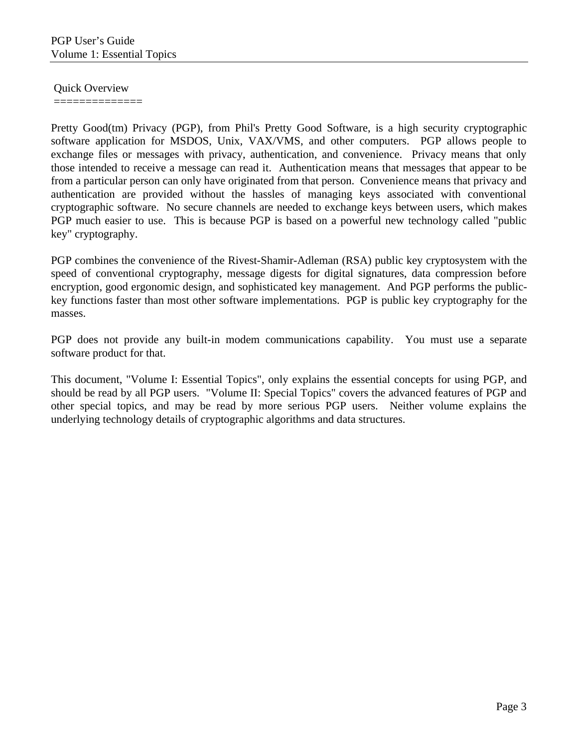# Quick Overview

==============

Pretty Good(tm) Privacy (PGP), from Phil's Pretty Good Software, is a high security cryptographic software application for MSDOS, Unix, VAX/VMS, and other computers. PGP allows people to exchange files or messages with privacy, authentication, and convenience. Privacy means that only those intended to receive a message can read it. Authentication means that messages that appear to be from a particular person can only have originated from that person. Convenience means that privacy and authentication are provided without the hassles of managing keys associated with conventional cryptographic software. No secure channels are needed to exchange keys between users, which makes PGP much easier to use. This is because PGP is based on a powerful new technology called "public key" cryptography.

PGP combines the convenience of the Rivest-Shamir-Adleman (RSA) public key cryptosystem with the speed of conventional cryptography, message digests for digital signatures, data compression before encryption, good ergonomic design, and sophisticated key management. And PGP performs the publickey functions faster than most other software implementations. PGP is public key cryptography for the masses.

PGP does not provide any built-in modem communications capability. You must use a separate software product for that.

This document, "Volume I: Essential Topics", only explains the essential concepts for using PGP, and should be read by all PGP users. "Volume II: Special Topics" covers the advanced features of PGP and other special topics, and may be read by more serious PGP users. Neither volume explains the underlying technology details of cryptographic algorithms and data structures.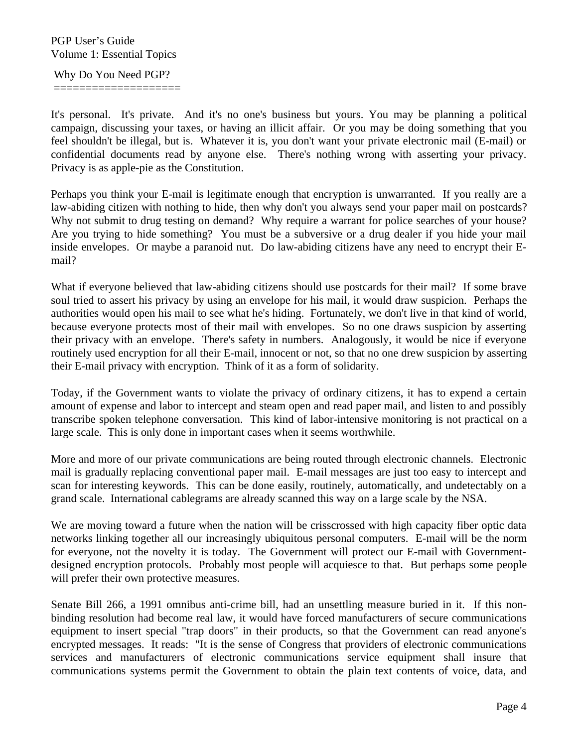## Why Do You Need PGP? ====================

It's personal. It's private. And it's no one's business but yours. You may be planning a political campaign, discussing your taxes, or having an illicit affair. Or you may be doing something that you feel shouldn't be illegal, but is. Whatever it is, you don't want your private electronic mail (E-mail) or confidential documents read by anyone else. There's nothing wrong with asserting your privacy. Privacy is as apple-pie as the Constitution.

Perhaps you think your E-mail is legitimate enough that encryption is unwarranted. If you really are a law-abiding citizen with nothing to hide, then why don't you always send your paper mail on postcards? Why not submit to drug testing on demand? Why require a warrant for police searches of your house? Are you trying to hide something? You must be a subversive or a drug dealer if you hide your mail inside envelopes. Or maybe a paranoid nut. Do law-abiding citizens have any need to encrypt their Email?

What if everyone believed that law-abiding citizens should use postcards for their mail? If some brave soul tried to assert his privacy by using an envelope for his mail, it would draw suspicion. Perhaps the authorities would open his mail to see what he's hiding. Fortunately, we don't live in that kind of world, because everyone protects most of their mail with envelopes. So no one draws suspicion by asserting their privacy with an envelope. There's safety in numbers. Analogously, it would be nice if everyone routinely used encryption for all their E-mail, innocent or not, so that no one drew suspicion by asserting their E-mail privacy with encryption. Think of it as a form of solidarity.

Today, if the Government wants to violate the privacy of ordinary citizens, it has to expend a certain amount of expense and labor to intercept and steam open and read paper mail, and listen to and possibly transcribe spoken telephone conversation. This kind of labor-intensive monitoring is not practical on a large scale. This is only done in important cases when it seems worthwhile.

More and more of our private communications are being routed through electronic channels. Electronic mail is gradually replacing conventional paper mail. E-mail messages are just too easy to intercept and scan for interesting keywords. This can be done easily, routinely, automatically, and undetectably on a grand scale. International cablegrams are already scanned this way on a large scale by the NSA.

We are moving toward a future when the nation will be crisscrossed with high capacity fiber optic data networks linking together all our increasingly ubiquitous personal computers. E-mail will be the norm for everyone, not the novelty it is today. The Government will protect our E-mail with Governmentdesigned encryption protocols. Probably most people will acquiesce to that. But perhaps some people will prefer their own protective measures.

Senate Bill 266, a 1991 omnibus anti-crime bill, had an unsettling measure buried in it. If this nonbinding resolution had become real law, it would have forced manufacturers of secure communications equipment to insert special "trap doors" in their products, so that the Government can read anyone's encrypted messages. It reads: "It is the sense of Congress that providers of electronic communications services and manufacturers of electronic communications service equipment shall insure that communications systems permit the Government to obtain the plain text contents of voice, data, and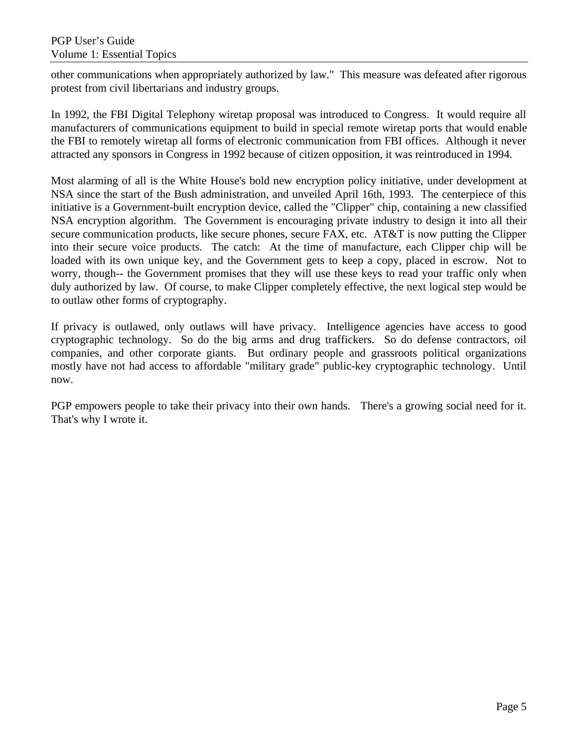other communications when appropriately authorized by law." This measure was defeated after rigorous protest from civil libertarians and industry groups.

In 1992, the FBI Digital Telephony wiretap proposal was introduced to Congress. It would require all manufacturers of communications equipment to build in special remote wiretap ports that would enable the FBI to remotely wiretap all forms of electronic communication from FBI offices. Although it never attracted any sponsors in Congress in 1992 because of citizen opposition, it was reintroduced in 1994.

Most alarming of all is the White House's bold new encryption policy initiative, under development at NSA since the start of the Bush administration, and unveiled April 16th, 1993. The centerpiece of this initiative is a Government-built encryption device, called the "Clipper" chip, containing a new classified NSA encryption algorithm. The Government is encouraging private industry to design it into all their secure communication products, like secure phones, secure FAX, etc. AT&T is now putting the Clipper into their secure voice products. The catch: At the time of manufacture, each Clipper chip will be loaded with its own unique key, and the Government gets to keep a copy, placed in escrow. Not to worry, though-- the Government promises that they will use these keys to read your traffic only when duly authorized by law. Of course, to make Clipper completely effective, the next logical step would be to outlaw other forms of cryptography.

If privacy is outlawed, only outlaws will have privacy. Intelligence agencies have access to good cryptographic technology. So do the big arms and drug traffickers. So do defense contractors, oil companies, and other corporate giants. But ordinary people and grassroots political organizations mostly have not had access to affordable "military grade" public-key cryptographic technology. Until now.

PGP empowers people to take their privacy into their own hands. There's a growing social need for it. That's why I wrote it.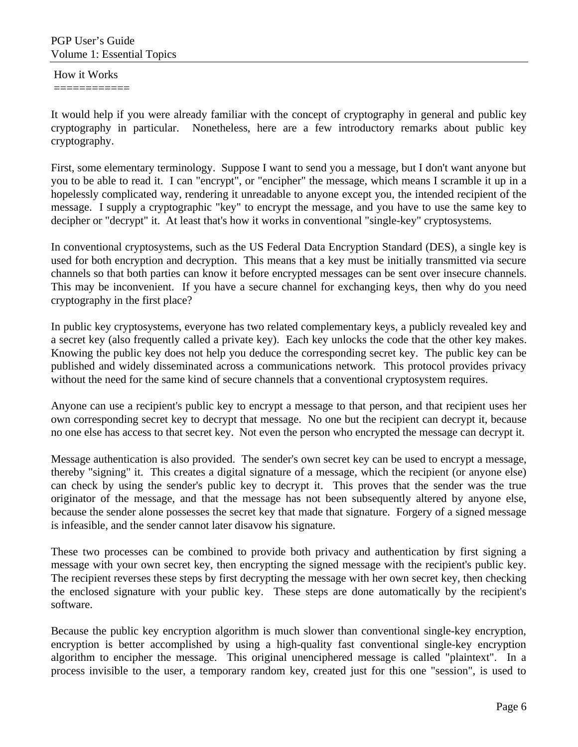How it Works ============

It would help if you were already familiar with the concept of cryptography in general and public key cryptography in particular. Nonetheless, here are a few introductory remarks about public key cryptography.

First, some elementary terminology. Suppose I want to send you a message, but I don't want anyone but you to be able to read it. I can "encrypt", or "encipher" the message, which means I scramble it up in a hopelessly complicated way, rendering it unreadable to anyone except you, the intended recipient of the message. I supply a cryptographic "key" to encrypt the message, and you have to use the same key to decipher or "decrypt" it. At least that's how it works in conventional "single-key" cryptosystems.

In conventional cryptosystems, such as the US Federal Data Encryption Standard (DES), a single key is used for both encryption and decryption. This means that a key must be initially transmitted via secure channels so that both parties can know it before encrypted messages can be sent over insecure channels. This may be inconvenient. If you have a secure channel for exchanging keys, then why do you need cryptography in the first place?

In public key cryptosystems, everyone has two related complementary keys, a publicly revealed key and a secret key (also frequently called a private key). Each key unlocks the code that the other key makes. Knowing the public key does not help you deduce the corresponding secret key. The public key can be published and widely disseminated across a communications network. This protocol provides privacy without the need for the same kind of secure channels that a conventional cryptosystem requires.

Anyone can use a recipient's public key to encrypt a message to that person, and that recipient uses her own corresponding secret key to decrypt that message. No one but the recipient can decrypt it, because no one else has access to that secret key. Not even the person who encrypted the message can decrypt it.

Message authentication is also provided. The sender's own secret key can be used to encrypt a message, thereby "signing" it. This creates a digital signature of a message, which the recipient (or anyone else) can check by using the sender's public key to decrypt it. This proves that the sender was the true originator of the message, and that the message has not been subsequently altered by anyone else, because the sender alone possesses the secret key that made that signature. Forgery of a signed message is infeasible, and the sender cannot later disavow his signature.

These two processes can be combined to provide both privacy and authentication by first signing a message with your own secret key, then encrypting the signed message with the recipient's public key. The recipient reverses these steps by first decrypting the message with her own secret key, then checking the enclosed signature with your public key. These steps are done automatically by the recipient's software.

Because the public key encryption algorithm is much slower than conventional single-key encryption, encryption is better accomplished by using a high-quality fast conventional single-key encryption algorithm to encipher the message. This original unenciphered message is called "plaintext". In a process invisible to the user, a temporary random key, created just for this one "session", is used to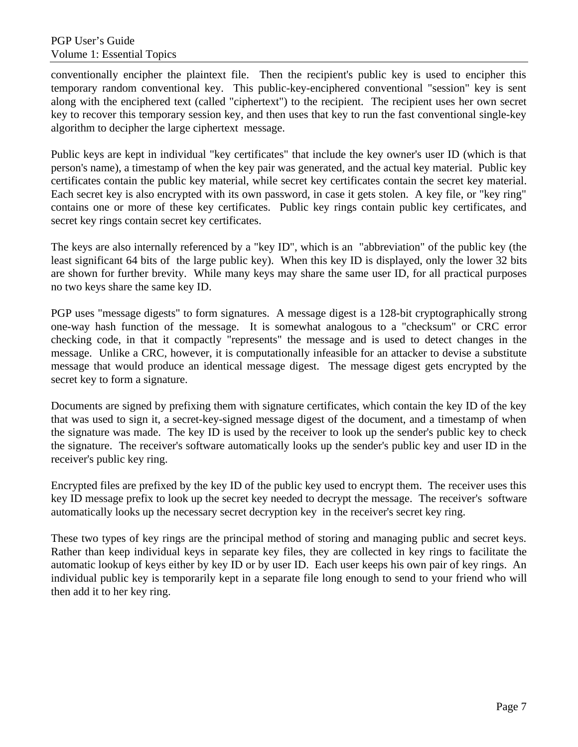conventionally encipher the plaintext file. Then the recipient's public key is used to encipher this temporary random conventional key. This public-key-enciphered conventional "session" key is sent along with the enciphered text (called "ciphertext") to the recipient. The recipient uses her own secret key to recover this temporary session key, and then uses that key to run the fast conventional single-key algorithm to decipher the large ciphertext message.

Public keys are kept in individual "key certificates" that include the key owner's user ID (which is that person's name), a timestamp of when the key pair was generated, and the actual key material. Public key certificates contain the public key material, while secret key certificates contain the secret key material. Each secret key is also encrypted with its own password, in case it gets stolen. A key file, or "key ring" contains one or more of these key certificates. Public key rings contain public key certificates, and secret key rings contain secret key certificates.

The keys are also internally referenced by a "key ID", which is an "abbreviation" of the public key (the least significant 64 bits of the large public key). When this key ID is displayed, only the lower 32 bits are shown for further brevity. While many keys may share the same user ID, for all practical purposes no two keys share the same key ID.

PGP uses "message digests" to form signatures. A message digest is a 128-bit cryptographically strong one-way hash function of the message. It is somewhat analogous to a "checksum" or CRC error checking code, in that it compactly "represents" the message and is used to detect changes in the message. Unlike a CRC, however, it is computationally infeasible for an attacker to devise a substitute message that would produce an identical message digest. The message digest gets encrypted by the secret key to form a signature.

Documents are signed by prefixing them with signature certificates, which contain the key ID of the key that was used to sign it, a secret-key-signed message digest of the document, and a timestamp of when the signature was made. The key ID is used by the receiver to look up the sender's public key to check the signature. The receiver's software automatically looks up the sender's public key and user ID in the receiver's public key ring.

Encrypted files are prefixed by the key ID of the public key used to encrypt them. The receiver uses this key ID message prefix to look up the secret key needed to decrypt the message. The receiver's software automatically looks up the necessary secret decryption key in the receiver's secret key ring.

These two types of key rings are the principal method of storing and managing public and secret keys. Rather than keep individual keys in separate key files, they are collected in key rings to facilitate the automatic lookup of keys either by key ID or by user ID. Each user keeps his own pair of key rings. An individual public key is temporarily kept in a separate file long enough to send to your friend who will then add it to her key ring.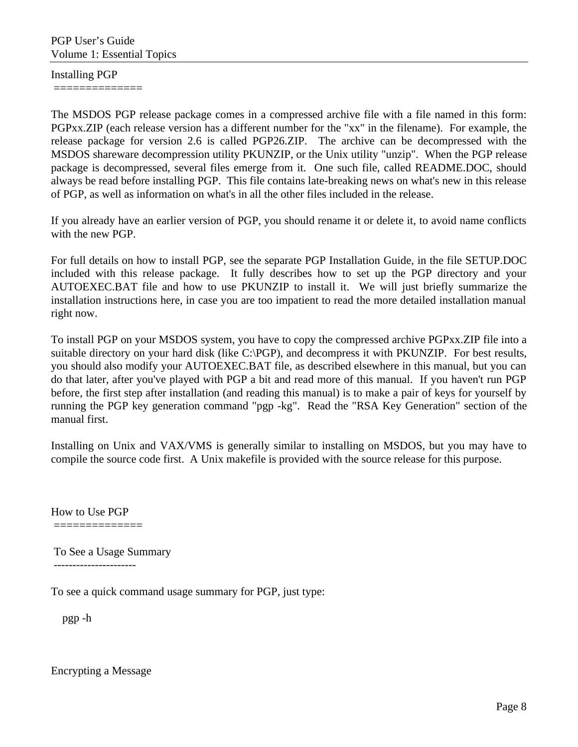### Installing PGP

==============

The MSDOS PGP release package comes in a compressed archive file with a file named in this form: PGPxx.ZIP (each release version has a different number for the "xx" in the filename). For example, the release package for version 2.6 is called PGP26.ZIP. The archive can be decompressed with the MSDOS shareware decompression utility PKUNZIP, or the Unix utility "unzip". When the PGP release package is decompressed, several files emerge from it. One such file, called README.DOC, should always be read before installing PGP. This file contains late-breaking news on what's new in this release of PGP, as well as information on what's in all the other files included in the release.

If you already have an earlier version of PGP, you should rename it or delete it, to avoid name conflicts with the new PGP.

For full details on how to install PGP, see the separate PGP Installation Guide, in the file SETUP.DOC included with this release package. It fully describes how to set up the PGP directory and your AUTOEXEC.BAT file and how to use PKUNZIP to install it. We will just briefly summarize the installation instructions here, in case you are too impatient to read the more detailed installation manual right now.

To install PGP on your MSDOS system, you have to copy the compressed archive PGPxx.ZIP file into a suitable directory on your hard disk (like C:\PGP), and decompress it with PKUNZIP. For best results, you should also modify your AUTOEXEC.BAT file, as described elsewhere in this manual, but you can do that later, after you've played with PGP a bit and read more of this manual. If you haven't run PGP before, the first step after installation (and reading this manual) is to make a pair of keys for yourself by running the PGP key generation command "pgp -kg". Read the "RSA Key Generation" section of the manual first.

Installing on Unix and VAX/VMS is generally similar to installing on MSDOS, but you may have to compile the source code first. A Unix makefile is provided with the source release for this purpose.

How to Use PGP

==============

To See a Usage Summary

----------------------

To see a quick command usage summary for PGP, just type:

pgp -h

Encrypting a Message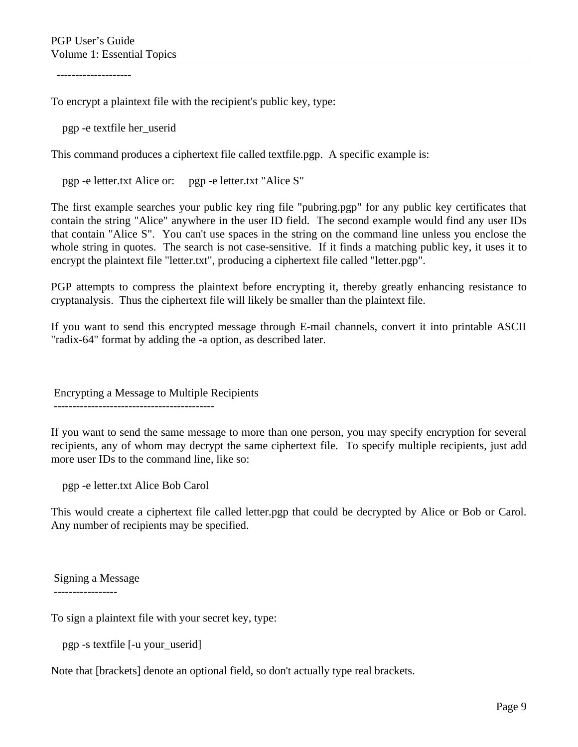--------------------

To encrypt a plaintext file with the recipient's public key, type:

pgp -e textfile her\_userid

This command produces a ciphertext file called textfile.pgp. A specific example is:

pgp -e letter.txt Alice or: pgp -e letter.txt "Alice S"

The first example searches your public key ring file "pubring.pgp" for any public key certificates that contain the string "Alice" anywhere in the user ID field. The second example would find any user IDs that contain "Alice S". You can't use spaces in the string on the command line unless you enclose the whole string in quotes. The search is not case-sensitive. If it finds a matching public key, it uses it to encrypt the plaintext file "letter.txt", producing a ciphertext file called "letter.pgp".

PGP attempts to compress the plaintext before encrypting it, thereby greatly enhancing resistance to cryptanalysis. Thus the ciphertext file will likely be smaller than the plaintext file.

If you want to send this encrypted message through E-mail channels, convert it into printable ASCII "radix-64" format by adding the -a option, as described later.

Encrypting a Message to Multiple Recipients

-------------------------------------------

If you want to send the same message to more than one person, you may specify encryption for several recipients, any of whom may decrypt the same ciphertext file. To specify multiple recipients, just add more user IDs to the command line, like so:

pgp -e letter.txt Alice Bob Carol

This would create a ciphertext file called letter.pgp that could be decrypted by Alice or Bob or Carol. Any number of recipients may be specified.

Signing a Message

-----------------

To sign a plaintext file with your secret key, type:

pgp -s textfile [-u your\_userid]

Note that [brackets] denote an optional field, so don't actually type real brackets.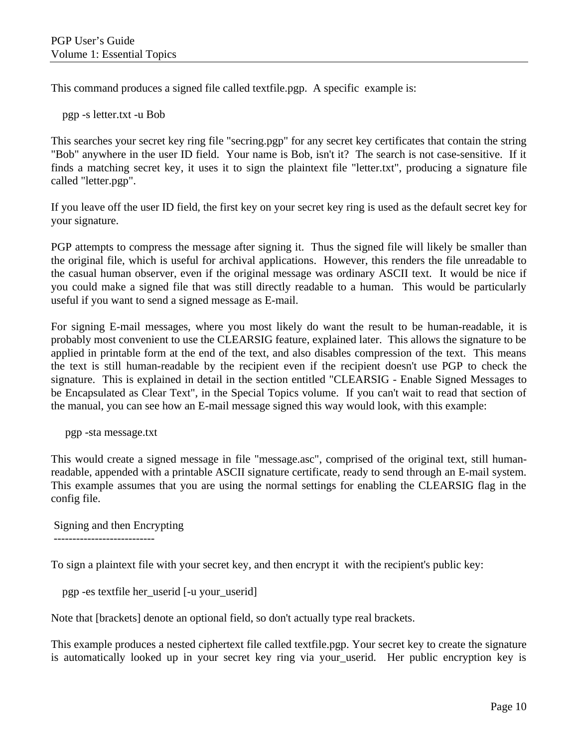This command produces a signed file called textfile.pgp. A specific example is:

pgp -s letter.txt -u Bob

This searches your secret key ring file "secring.pgp" for any secret key certificates that contain the string "Bob" anywhere in the user ID field. Your name is Bob, isn't it? The search is not case-sensitive. If it finds a matching secret key, it uses it to sign the plaintext file "letter.txt", producing a signature file called "letter.pgp".

If you leave off the user ID field, the first key on your secret key ring is used as the default secret key for your signature.

PGP attempts to compress the message after signing it. Thus the signed file will likely be smaller than the original file, which is useful for archival applications. However, this renders the file unreadable to the casual human observer, even if the original message was ordinary ASCII text. It would be nice if you could make a signed file that was still directly readable to a human. This would be particularly useful if you want to send a signed message as E-mail.

For signing E-mail messages, where you most likely do want the result to be human-readable, it is probably most convenient to use the CLEARSIG feature, explained later. This allows the signature to be applied in printable form at the end of the text, and also disables compression of the text. This means the text is still human-readable by the recipient even if the recipient doesn't use PGP to check the signature. This is explained in detail in the section entitled "CLEARSIG - Enable Signed Messages to be Encapsulated as Clear Text", in the Special Topics volume. If you can't wait to read that section of the manual, you can see how an E-mail message signed this way would look, with this example:

pgp -sta message.txt

This would create a signed message in file "message.asc", comprised of the original text, still humanreadable, appended with a printable ASCII signature certificate, ready to send through an E-mail system. This example assumes that you are using the normal settings for enabling the CLEARSIG flag in the config file.

# Signing and then Encrypting

---------------------------

To sign a plaintext file with your secret key, and then encrypt it with the recipient's public key:

pgp -es textfile her\_userid [-u your\_userid]

Note that [brackets] denote an optional field, so don't actually type real brackets.

This example produces a nested ciphertext file called textfile.pgp. Your secret key to create the signature is automatically looked up in your secret key ring via your\_userid. Her public encryption key is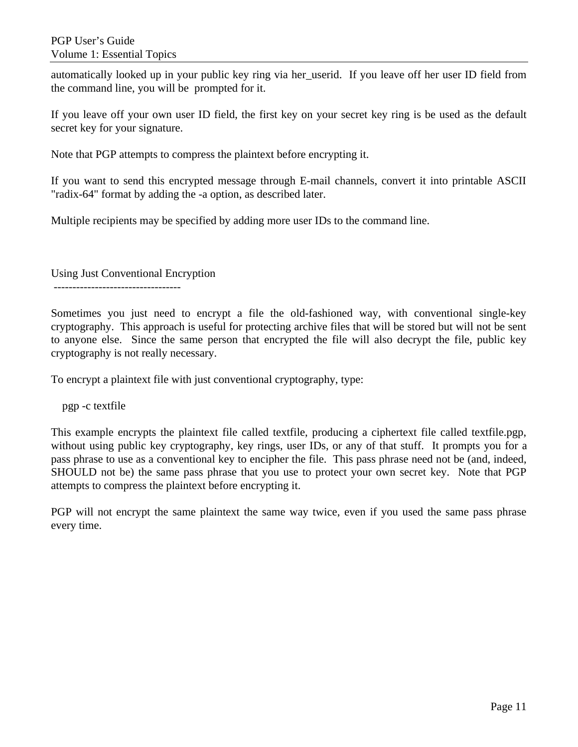automatically looked up in your public key ring via her\_userid. If you leave off her user ID field from the command line, you will be prompted for it.

If you leave off your own user ID field, the first key on your secret key ring is be used as the default secret key for your signature.

Note that PGP attempts to compress the plaintext before encrypting it.

If you want to send this encrypted message through E-mail channels, convert it into printable ASCII "radix-64" format by adding the -a option, as described later.

Multiple recipients may be specified by adding more user IDs to the command line.

# Using Just Conventional Encryption

----------------------------------

Sometimes you just need to encrypt a file the old-fashioned way, with conventional single-key cryptography. This approach is useful for protecting archive files that will be stored but will not be sent to anyone else. Since the same person that encrypted the file will also decrypt the file, public key cryptography is not really necessary.

To encrypt a plaintext file with just conventional cryptography, type:

pgp -c textfile

This example encrypts the plaintext file called textfile, producing a ciphertext file called textfile.pgp, without using public key cryptography, key rings, user IDs, or any of that stuff. It prompts you for a pass phrase to use as a conventional key to encipher the file. This pass phrase need not be (and, indeed, SHOULD not be) the same pass phrase that you use to protect your own secret key. Note that PGP attempts to compress the plaintext before encrypting it.

PGP will not encrypt the same plaintext the same way twice, even if you used the same pass phrase every time.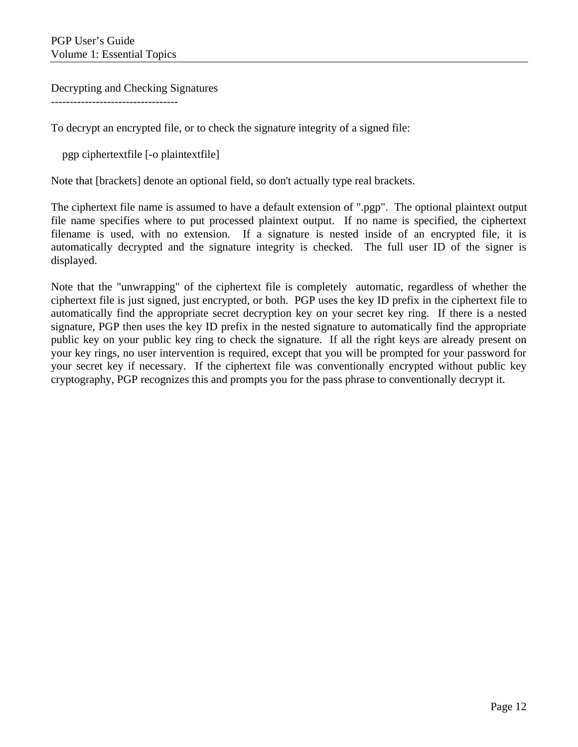Decrypting and Checking Signatures

To decrypt an encrypted file, or to check the signature integrity of a signed file:

pgp ciphertextfile [-o plaintextfile]

Note that [brackets] denote an optional field, so don't actually type real brackets.

The ciphertext file name is assumed to have a default extension of ".pgp". The optional plaintext output file name specifies where to put processed plaintext output. If no name is specified, the ciphertext filename is used, with no extension. If a signature is nested inside of an encrypted file, it is automatically decrypted and the signature integrity is checked. The full user ID of the signer is displayed.

Note that the "unwrapping" of the ciphertext file is completely automatic, regardless of whether the ciphertext file is just signed, just encrypted, or both. PGP uses the key ID prefix in the ciphertext file to automatically find the appropriate secret decryption key on your secret key ring. If there is a nested signature, PGP then uses the key ID prefix in the nested signature to automatically find the appropriate public key on your public key ring to check the signature. If all the right keys are already present on your key rings, no user intervention is required, except that you will be prompted for your password for your secret key if necessary. If the ciphertext file was conventionally encrypted without public key cryptography, PGP recognizes this and prompts you for the pass phrase to conventionally decrypt it.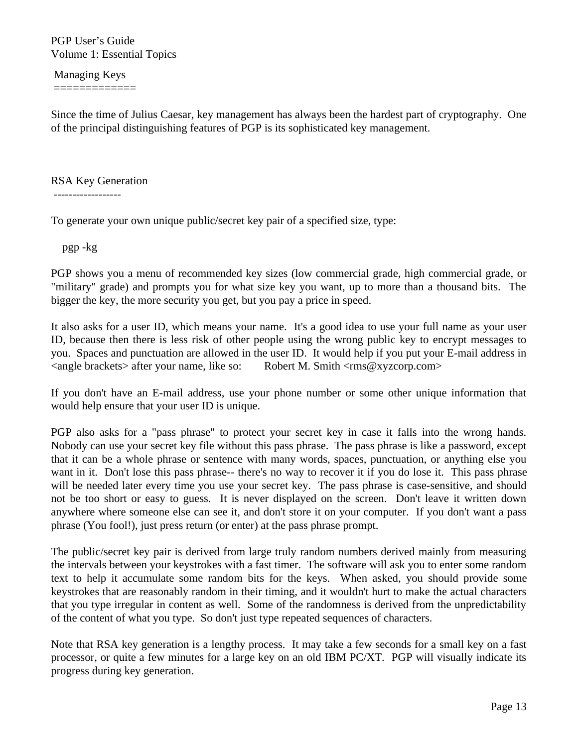#### Managing Keys =============

Since the time of Julius Caesar, key management has always been the hardest part of cryptography. One of the principal distinguishing features of PGP is its sophisticated key management.

RSA Key Generation

------------------

To generate your own unique public/secret key pair of a specified size, type:

pgp -kg

PGP shows you a menu of recommended key sizes (low commercial grade, high commercial grade, or "military" grade) and prompts you for what size key you want, up to more than a thousand bits. The bigger the key, the more security you get, but you pay a price in speed.

It also asks for a user ID, which means your name. It's a good idea to use your full name as your user ID, because then there is less risk of other people using the wrong public key to encrypt messages to you. Spaces and punctuation are allowed in the user ID. It would help if you put your E-mail address in <angle brackets> after your name, like so: Robert M. Smith <rms@xyzcorp.com>

If you don't have an E-mail address, use your phone number or some other unique information that would help ensure that your user ID is unique.

PGP also asks for a "pass phrase" to protect your secret key in case it falls into the wrong hands. Nobody can use your secret key file without this pass phrase. The pass phrase is like a password, except that it can be a whole phrase or sentence with many words, spaces, punctuation, or anything else you want in it. Don't lose this pass phrase-- there's no way to recover it if you do lose it. This pass phrase will be needed later every time you use your secret key. The pass phrase is case-sensitive, and should not be too short or easy to guess. It is never displayed on the screen. Don't leave it written down anywhere where someone else can see it, and don't store it on your computer. If you don't want a pass phrase (You fool!), just press return (or enter) at the pass phrase prompt.

The public/secret key pair is derived from large truly random numbers derived mainly from measuring the intervals between your keystrokes with a fast timer. The software will ask you to enter some random text to help it accumulate some random bits for the keys. When asked, you should provide some keystrokes that are reasonably random in their timing, and it wouldn't hurt to make the actual characters that you type irregular in content as well. Some of the randomness is derived from the unpredictability of the content of what you type. So don't just type repeated sequences of characters.

Note that RSA key generation is a lengthy process. It may take a few seconds for a small key on a fast processor, or quite a few minutes for a large key on an old IBM PC/XT. PGP will visually indicate its progress during key generation.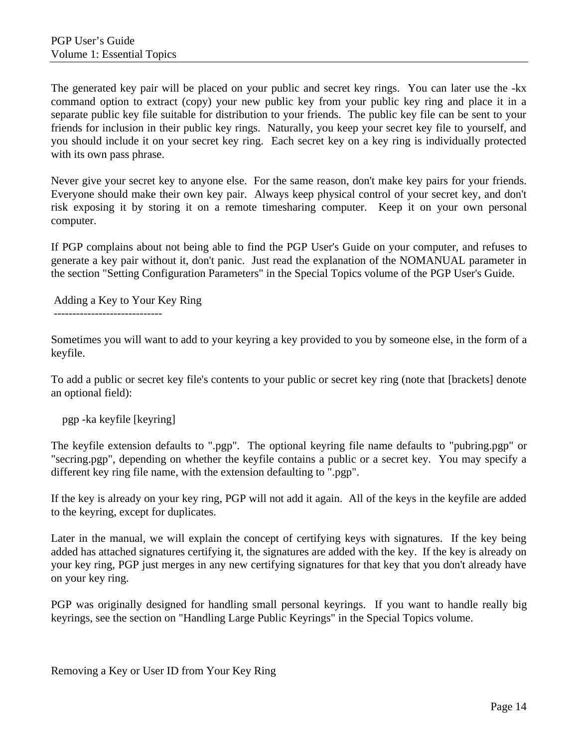The generated key pair will be placed on your public and secret key rings. You can later use the -kx command option to extract (copy) your new public key from your public key ring and place it in a separate public key file suitable for distribution to your friends. The public key file can be sent to your friends for inclusion in their public key rings. Naturally, you keep your secret key file to yourself, and you should include it on your secret key ring. Each secret key on a key ring is individually protected with its own pass phrase.

Never give your secret key to anyone else. For the same reason, don't make key pairs for your friends. Everyone should make their own key pair. Always keep physical control of your secret key, and don't risk exposing it by storing it on a remote timesharing computer. Keep it on your own personal computer.

If PGP complains about not being able to find the PGP User's Guide on your computer, and refuses to generate a key pair without it, don't panic. Just read the explanation of the NOMANUAL parameter in the section "Setting Configuration Parameters" in the Special Topics volume of the PGP User's Guide.

Adding a Key to Your Key Ring

-----------------------------

Sometimes you will want to add to your keyring a key provided to you by someone else, in the form of a keyfile.

To add a public or secret key file's contents to your public or secret key ring (note that [brackets] denote an optional field):

pgp -ka keyfile [keyring]

The keyfile extension defaults to ".pgp". The optional keyring file name defaults to "pubring.pgp" or "secring.pgp", depending on whether the keyfile contains a public or a secret key. You may specify a different key ring file name, with the extension defaulting to ".pgp".

If the key is already on your key ring, PGP will not add it again. All of the keys in the keyfile are added to the keyring, except for duplicates.

Later in the manual, we will explain the concept of certifying keys with signatures. If the key being added has attached signatures certifying it, the signatures are added with the key. If the key is already on your key ring, PGP just merges in any new certifying signatures for that key that you don't already have on your key ring.

PGP was originally designed for handling small personal keyrings. If you want to handle really big keyrings, see the section on "Handling Large Public Keyrings" in the Special Topics volume.

Removing a Key or User ID from Your Key Ring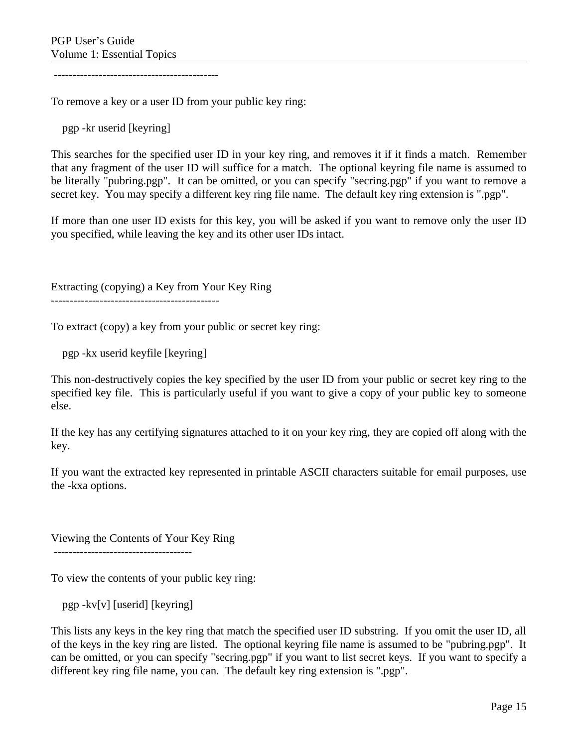--------------------------------------------

To remove a key or a user ID from your public key ring:

pgp -kr userid [keyring]

This searches for the specified user ID in your key ring, and removes it if it finds a match. Remember that any fragment of the user ID will suffice for a match. The optional keyring file name is assumed to be literally "pubring.pgp". It can be omitted, or you can specify "secring.pgp" if you want to remove a secret key. You may specify a different key ring file name. The default key ring extension is ".pgp".

If more than one user ID exists for this key, you will be asked if you want to remove only the user ID you specified, while leaving the key and its other user IDs intact.

Extracting (copying) a Key from Your Key Ring

To extract (copy) a key from your public or secret key ring:

pgp -kx userid keyfile [keyring]

This non-destructively copies the key specified by the user ID from your public or secret key ring to the specified key file. This is particularly useful if you want to give a copy of your public key to someone else.

If the key has any certifying signatures attached to it on your key ring, they are copied off along with the key.

If you want the extracted key represented in printable ASCII characters suitable for email purposes, use the -kxa options.

Viewing the Contents of Your Key Ring

-------------------------------------

To view the contents of your public key ring:

pgp -kv[v] [userid] [keyring]

This lists any keys in the key ring that match the specified user ID substring. If you omit the user ID, all of the keys in the key ring are listed. The optional keyring file name is assumed to be "pubring.pgp". It can be omitted, or you can specify "secring.pgp" if you want to list secret keys. If you want to specify a different key ring file name, you can. The default key ring extension is ".pgp".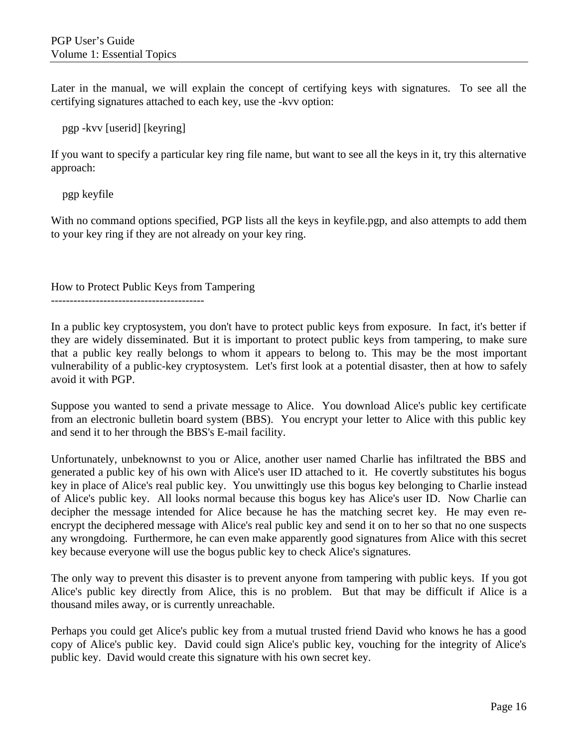Later in the manual, we will explain the concept of certifying keys with signatures. To see all the certifying signatures attached to each key, use the -kvv option:

pgp -kvv [userid] [keyring]

If you want to specify a particular key ring file name, but want to see all the keys in it, try this alternative approach:

pgp keyfile

With no command options specified, PGP lists all the keys in keyfile.pgp, and also attempts to add them to your key ring if they are not already on your key ring.

How to Protect Public Keys from Tampering

In a public key cryptosystem, you don't have to protect public keys from exposure. In fact, it's better if they are widely disseminated. But it is important to protect public keys from tampering, to make sure that a public key really belongs to whom it appears to belong to. This may be the most important vulnerability of a public-key cryptosystem. Let's first look at a potential disaster, then at how to safely avoid it with PGP.

Suppose you wanted to send a private message to Alice. You download Alice's public key certificate from an electronic bulletin board system (BBS). You encrypt your letter to Alice with this public key and send it to her through the BBS's E-mail facility.

Unfortunately, unbeknownst to you or Alice, another user named Charlie has infiltrated the BBS and generated a public key of his own with Alice's user ID attached to it. He covertly substitutes his bogus key in place of Alice's real public key. You unwittingly use this bogus key belonging to Charlie instead of Alice's public key. All looks normal because this bogus key has Alice's user ID. Now Charlie can decipher the message intended for Alice because he has the matching secret key. He may even reencrypt the deciphered message with Alice's real public key and send it on to her so that no one suspects any wrongdoing. Furthermore, he can even make apparently good signatures from Alice with this secret key because everyone will use the bogus public key to check Alice's signatures.

The only way to prevent this disaster is to prevent anyone from tampering with public keys. If you got Alice's public key directly from Alice, this is no problem. But that may be difficult if Alice is a thousand miles away, or is currently unreachable.

Perhaps you could get Alice's public key from a mutual trusted friend David who knows he has a good copy of Alice's public key. David could sign Alice's public key, vouching for the integrity of Alice's public key. David would create this signature with his own secret key.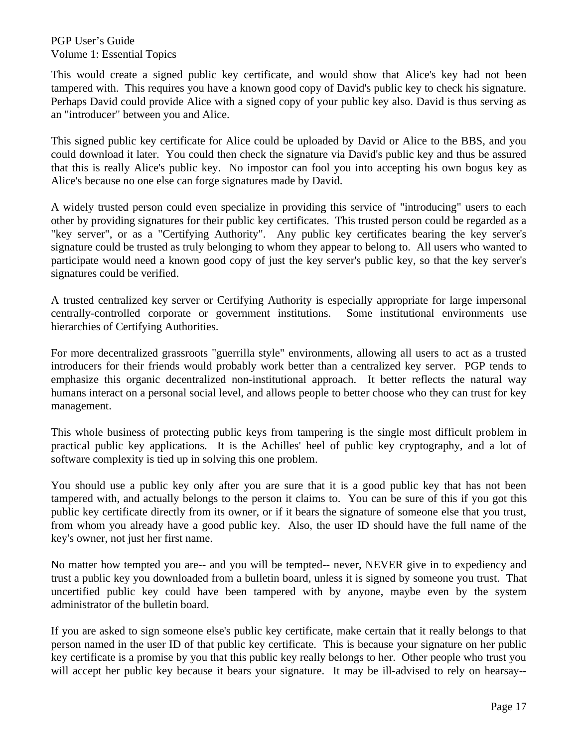This would create a signed public key certificate, and would show that Alice's key had not been tampered with. This requires you have a known good copy of David's public key to check his signature. Perhaps David could provide Alice with a signed copy of your public key also. David is thus serving as an "introducer" between you and Alice.

This signed public key certificate for Alice could be uploaded by David or Alice to the BBS, and you could download it later. You could then check the signature via David's public key and thus be assured that this is really Alice's public key. No impostor can fool you into accepting his own bogus key as Alice's because no one else can forge signatures made by David.

A widely trusted person could even specialize in providing this service of "introducing" users to each other by providing signatures for their public key certificates. This trusted person could be regarded as a "key server", or as a "Certifying Authority". Any public key certificates bearing the key server's signature could be trusted as truly belonging to whom they appear to belong to. All users who wanted to participate would need a known good copy of just the key server's public key, so that the key server's signatures could be verified.

A trusted centralized key server or Certifying Authority is especially appropriate for large impersonal centrally-controlled corporate or government institutions. Some institutional environments use hierarchies of Certifying Authorities.

For more decentralized grassroots "guerrilla style" environments, allowing all users to act as a trusted introducers for their friends would probably work better than a centralized key server. PGP tends to emphasize this organic decentralized non-institutional approach. It better reflects the natural way humans interact on a personal social level, and allows people to better choose who they can trust for key management.

This whole business of protecting public keys from tampering is the single most difficult problem in practical public key applications. It is the Achilles' heel of public key cryptography, and a lot of software complexity is tied up in solving this one problem.

You should use a public key only after you are sure that it is a good public key that has not been tampered with, and actually belongs to the person it claims to. You can be sure of this if you got this public key certificate directly from its owner, or if it bears the signature of someone else that you trust, from whom you already have a good public key. Also, the user ID should have the full name of the key's owner, not just her first name.

No matter how tempted you are-- and you will be tempted-- never, NEVER give in to expediency and trust a public key you downloaded from a bulletin board, unless it is signed by someone you trust. That uncertified public key could have been tampered with by anyone, maybe even by the system administrator of the bulletin board.

If you are asked to sign someone else's public key certificate, make certain that it really belongs to that person named in the user ID of that public key certificate. This is because your signature on her public key certificate is a promise by you that this public key really belongs to her. Other people who trust you will accept her public key because it bears your signature. It may be ill-advised to rely on hearsay--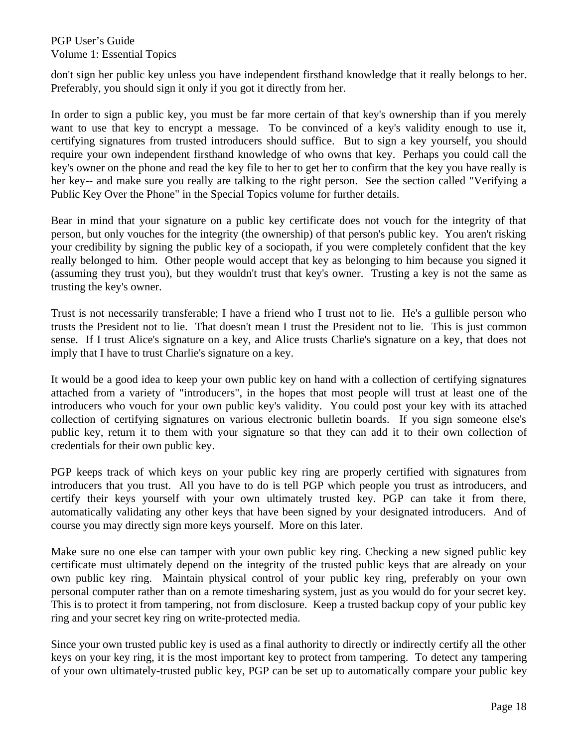don't sign her public key unless you have independent firsthand knowledge that it really belongs to her. Preferably, you should sign it only if you got it directly from her.

In order to sign a public key, you must be far more certain of that key's ownership than if you merely want to use that key to encrypt a message. To be convinced of a key's validity enough to use it, certifying signatures from trusted introducers should suffice. But to sign a key yourself, you should require your own independent firsthand knowledge of who owns that key. Perhaps you could call the key's owner on the phone and read the key file to her to get her to confirm that the key you have really is her key-- and make sure you really are talking to the right person. See the section called "Verifying a Public Key Over the Phone" in the Special Topics volume for further details.

Bear in mind that your signature on a public key certificate does not vouch for the integrity of that person, but only vouches for the integrity (the ownership) of that person's public key. You aren't risking your credibility by signing the public key of a sociopath, if you were completely confident that the key really belonged to him. Other people would accept that key as belonging to him because you signed it (assuming they trust you), but they wouldn't trust that key's owner. Trusting a key is not the same as trusting the key's owner.

Trust is not necessarily transferable; I have a friend who I trust not to lie. He's a gullible person who trusts the President not to lie. That doesn't mean I trust the President not to lie. This is just common sense. If I trust Alice's signature on a key, and Alice trusts Charlie's signature on a key, that does not imply that I have to trust Charlie's signature on a key.

It would be a good idea to keep your own public key on hand with a collection of certifying signatures attached from a variety of "introducers", in the hopes that most people will trust at least one of the introducers who vouch for your own public key's validity. You could post your key with its attached collection of certifying signatures on various electronic bulletin boards. If you sign someone else's public key, return it to them with your signature so that they can add it to their own collection of credentials for their own public key.

PGP keeps track of which keys on your public key ring are properly certified with signatures from introducers that you trust. All you have to do is tell PGP which people you trust as introducers, and certify their keys yourself with your own ultimately trusted key. PGP can take it from there, automatically validating any other keys that have been signed by your designated introducers. And of course you may directly sign more keys yourself. More on this later.

Make sure no one else can tamper with your own public key ring. Checking a new signed public key certificate must ultimately depend on the integrity of the trusted public keys that are already on your own public key ring. Maintain physical control of your public key ring, preferably on your own personal computer rather than on a remote timesharing system, just as you would do for your secret key. This is to protect it from tampering, not from disclosure. Keep a trusted backup copy of your public key ring and your secret key ring on write-protected media.

Since your own trusted public key is used as a final authority to directly or indirectly certify all the other keys on your key ring, it is the most important key to protect from tampering. To detect any tampering of your own ultimately-trusted public key, PGP can be set up to automatically compare your public key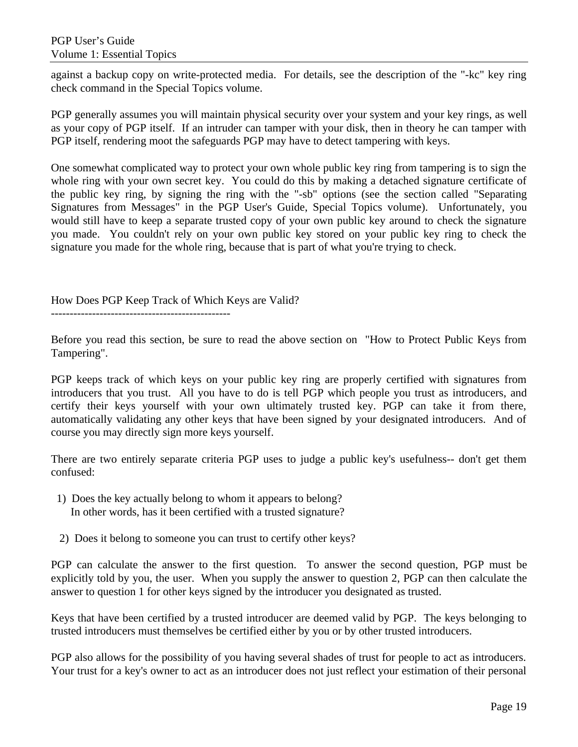against a backup copy on write-protected media. For details, see the description of the "-kc" key ring check command in the Special Topics volume.

PGP generally assumes you will maintain physical security over your system and your key rings, as well as your copy of PGP itself. If an intruder can tamper with your disk, then in theory he can tamper with PGP itself, rendering moot the safeguards PGP may have to detect tampering with keys.

One somewhat complicated way to protect your own whole public key ring from tampering is to sign the whole ring with your own secret key. You could do this by making a detached signature certificate of the public key ring, by signing the ring with the "-sb" options (see the section called "Separating Signatures from Messages" in the PGP User's Guide, Special Topics volume). Unfortunately, you would still have to keep a separate trusted copy of your own public key around to check the signature you made. You couldn't rely on your own public key stored on your public key ring to check the signature you made for the whole ring, because that is part of what you're trying to check.

How Does PGP Keep Track of Which Keys are Valid?

------------------------------------------------

Before you read this section, be sure to read the above section on "How to Protect Public Keys from Tampering".

PGP keeps track of which keys on your public key ring are properly certified with signatures from introducers that you trust. All you have to do is tell PGP which people you trust as introducers, and certify their keys yourself with your own ultimately trusted key. PGP can take it from there, automatically validating any other keys that have been signed by your designated introducers. And of course you may directly sign more keys yourself.

There are two entirely separate criteria PGP uses to judge a public key's usefulness-- don't get them confused:

- 1) Does the key actually belong to whom it appears to belong? In other words, has it been certified with a trusted signature?
- 2) Does it belong to someone you can trust to certify other keys?

PGP can calculate the answer to the first question. To answer the second question, PGP must be explicitly told by you, the user. When you supply the answer to question 2, PGP can then calculate the answer to question 1 for other keys signed by the introducer you designated as trusted.

Keys that have been certified by a trusted introducer are deemed valid by PGP. The keys belonging to trusted introducers must themselves be certified either by you or by other trusted introducers.

PGP also allows for the possibility of you having several shades of trust for people to act as introducers. Your trust for a key's owner to act as an introducer does not just reflect your estimation of their personal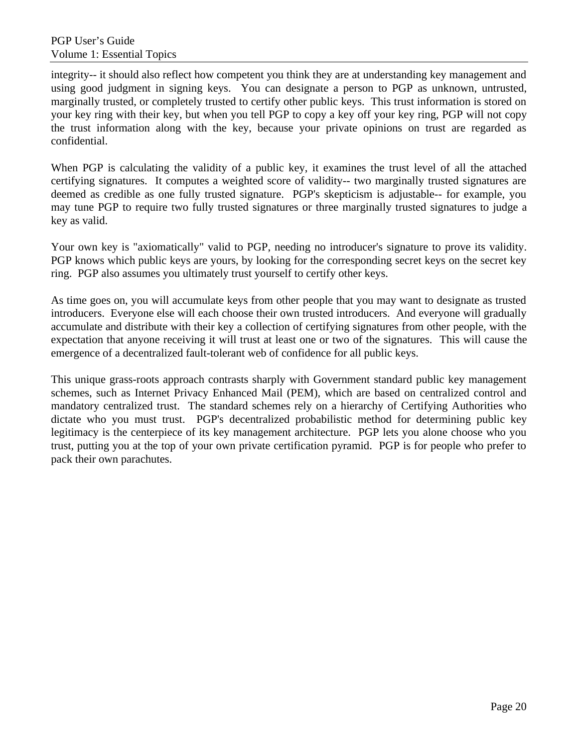integrity-- it should also reflect how competent you think they are at understanding key management and using good judgment in signing keys. You can designate a person to PGP as unknown, untrusted, marginally trusted, or completely trusted to certify other public keys. This trust information is stored on your key ring with their key, but when you tell PGP to copy a key off your key ring, PGP will not copy the trust information along with the key, because your private opinions on trust are regarded as confidential.

When PGP is calculating the validity of a public key, it examines the trust level of all the attached certifying signatures. It computes a weighted score of validity-- two marginally trusted signatures are deemed as credible as one fully trusted signature. PGP's skepticism is adjustable-- for example, you may tune PGP to require two fully trusted signatures or three marginally trusted signatures to judge a key as valid.

Your own key is "axiomatically" valid to PGP, needing no introducer's signature to prove its validity. PGP knows which public keys are yours, by looking for the corresponding secret keys on the secret key ring. PGP also assumes you ultimately trust yourself to certify other keys.

As time goes on, you will accumulate keys from other people that you may want to designate as trusted introducers. Everyone else will each choose their own trusted introducers. And everyone will gradually accumulate and distribute with their key a collection of certifying signatures from other people, with the expectation that anyone receiving it will trust at least one or two of the signatures. This will cause the emergence of a decentralized fault-tolerant web of confidence for all public keys.

This unique grass-roots approach contrasts sharply with Government standard public key management schemes, such as Internet Privacy Enhanced Mail (PEM), which are based on centralized control and mandatory centralized trust. The standard schemes rely on a hierarchy of Certifying Authorities who dictate who you must trust. PGP's decentralized probabilistic method for determining public key legitimacy is the centerpiece of its key management architecture. PGP lets you alone choose who you trust, putting you at the top of your own private certification pyramid. PGP is for people who prefer to pack their own parachutes.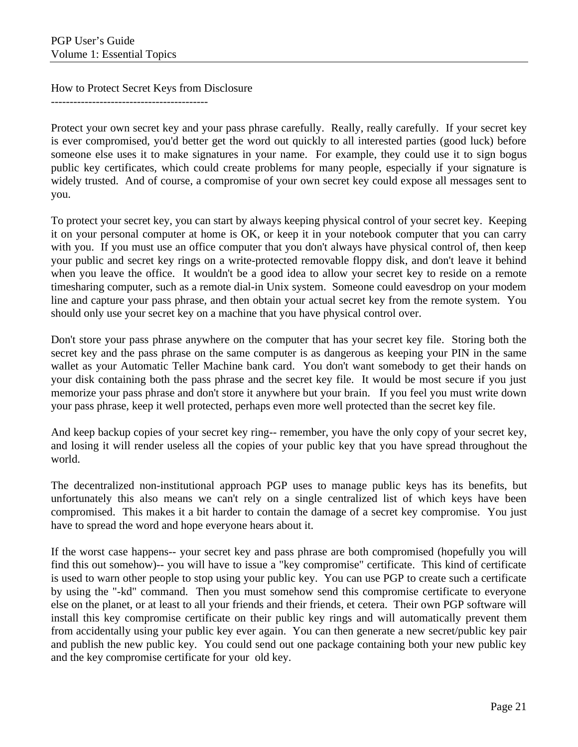How to Protect Secret Keys from Disclosure

------------------------------------------

Protect your own secret key and your pass phrase carefully. Really, really carefully. If your secret key is ever compromised, you'd better get the word out quickly to all interested parties (good luck) before someone else uses it to make signatures in your name. For example, they could use it to sign bogus public key certificates, which could create problems for many people, especially if your signature is widely trusted. And of course, a compromise of your own secret key could expose all messages sent to you.

To protect your secret key, you can start by always keeping physical control of your secret key. Keeping it on your personal computer at home is OK, or keep it in your notebook computer that you can carry with you. If you must use an office computer that you don't always have physical control of, then keep your public and secret key rings on a write-protected removable floppy disk, and don't leave it behind when you leave the office. It wouldn't be a good idea to allow your secret key to reside on a remote timesharing computer, such as a remote dial-in Unix system. Someone could eavesdrop on your modem line and capture your pass phrase, and then obtain your actual secret key from the remote system. You should only use your secret key on a machine that you have physical control over.

Don't store your pass phrase anywhere on the computer that has your secret key file. Storing both the secret key and the pass phrase on the same computer is as dangerous as keeping your PIN in the same wallet as your Automatic Teller Machine bank card. You don't want somebody to get their hands on your disk containing both the pass phrase and the secret key file. It would be most secure if you just memorize your pass phrase and don't store it anywhere but your brain. If you feel you must write down your pass phrase, keep it well protected, perhaps even more well protected than the secret key file.

And keep backup copies of your secret key ring-- remember, you have the only copy of your secret key, and losing it will render useless all the copies of your public key that you have spread throughout the world.

The decentralized non-institutional approach PGP uses to manage public keys has its benefits, but unfortunately this also means we can't rely on a single centralized list of which keys have been compromised. This makes it a bit harder to contain the damage of a secret key compromise. You just have to spread the word and hope everyone hears about it.

If the worst case happens-- your secret key and pass phrase are both compromised (hopefully you will find this out somehow)-- you will have to issue a "key compromise" certificate. This kind of certificate is used to warn other people to stop using your public key. You can use PGP to create such a certificate by using the "-kd" command. Then you must somehow send this compromise certificate to everyone else on the planet, or at least to all your friends and their friends, et cetera. Their own PGP software will install this key compromise certificate on their public key rings and will automatically prevent them from accidentally using your public key ever again. You can then generate a new secret/public key pair and publish the new public key. You could send out one package containing both your new public key and the key compromise certificate for your old key.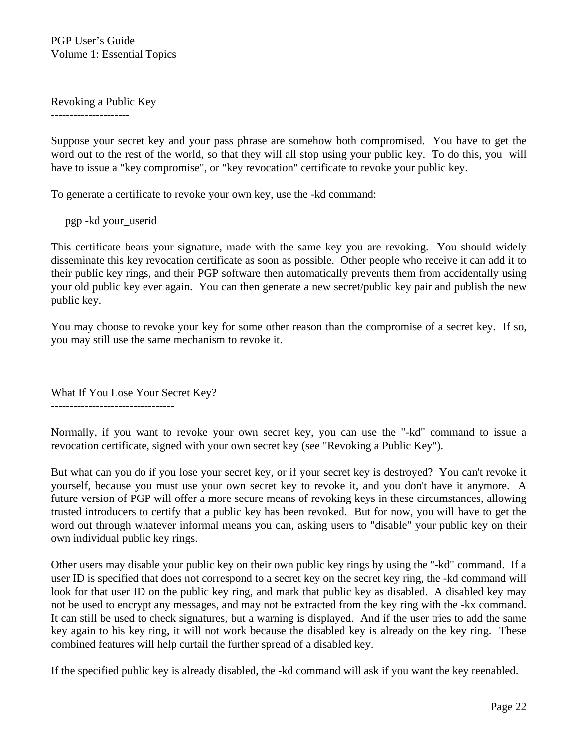Revoking a Public Key

---------------------

Suppose your secret key and your pass phrase are somehow both compromised. You have to get the word out to the rest of the world, so that they will all stop using your public key. To do this, you will have to issue a "key compromise", or "key revocation" certificate to revoke your public key.

To generate a certificate to revoke your own key, use the -kd command:

pgp -kd your\_userid

This certificate bears your signature, made with the same key you are revoking. You should widely disseminate this key revocation certificate as soon as possible. Other people who receive it can add it to their public key rings, and their PGP software then automatically prevents them from accidentally using your old public key ever again. You can then generate a new secret/public key pair and publish the new public key.

You may choose to revoke your key for some other reason than the compromise of a secret key. If so, you may still use the same mechanism to revoke it.

What If You Lose Your Secret Key?

---------------------------------

Normally, if you want to revoke your own secret key, you can use the "-kd" command to issue a revocation certificate, signed with your own secret key (see "Revoking a Public Key").

But what can you do if you lose your secret key, or if your secret key is destroyed? You can't revoke it yourself, because you must use your own secret key to revoke it, and you don't have it anymore. A future version of PGP will offer a more secure means of revoking keys in these circumstances, allowing trusted introducers to certify that a public key has been revoked. But for now, you will have to get the word out through whatever informal means you can, asking users to "disable" your public key on their own individual public key rings.

Other users may disable your public key on their own public key rings by using the "-kd" command. If a user ID is specified that does not correspond to a secret key on the secret key ring, the -kd command will look for that user ID on the public key ring, and mark that public key as disabled. A disabled key may not be used to encrypt any messages, and may not be extracted from the key ring with the -kx command. It can still be used to check signatures, but a warning is displayed. And if the user tries to add the same key again to his key ring, it will not work because the disabled key is already on the key ring. These combined features will help curtail the further spread of a disabled key.

If the specified public key is already disabled, the -kd command will ask if you want the key reenabled.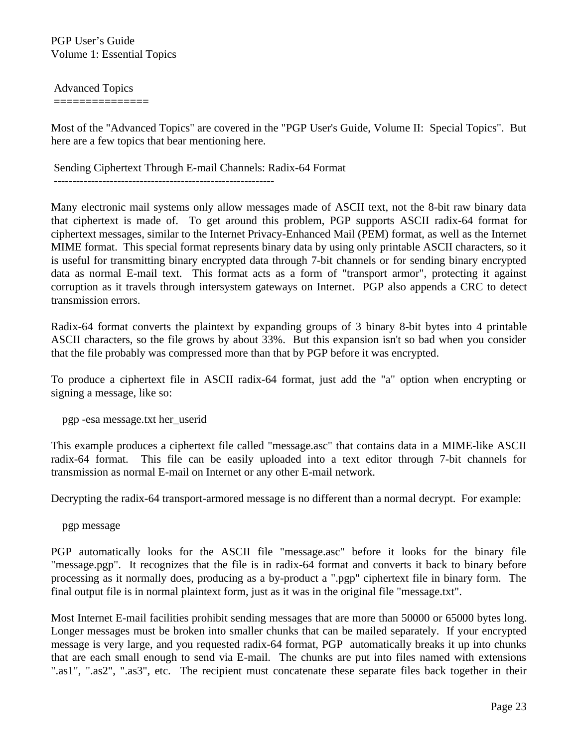Advanced Topics ===============

Most of the "Advanced Topics" are covered in the "PGP User's Guide, Volume II: Special Topics". But here are a few topics that bear mentioning here.

Sending Ciphertext Through E-mail Channels: Radix-64 Format

-----------------------------------------------------------

Many electronic mail systems only allow messages made of ASCII text, not the 8-bit raw binary data that ciphertext is made of. To get around this problem, PGP supports ASCII radix-64 format for ciphertext messages, similar to the Internet Privacy-Enhanced Mail (PEM) format, as well as the Internet MIME format. This special format represents binary data by using only printable ASCII characters, so it is useful for transmitting binary encrypted data through 7-bit channels or for sending binary encrypted data as normal E-mail text. This format acts as a form of "transport armor", protecting it against corruption as it travels through intersystem gateways on Internet. PGP also appends a CRC to detect transmission errors.

Radix-64 format converts the plaintext by expanding groups of 3 binary 8-bit bytes into 4 printable ASCII characters, so the file grows by about 33%. But this expansion isn't so bad when you consider that the file probably was compressed more than that by PGP before it was encrypted.

To produce a ciphertext file in ASCII radix-64 format, just add the "a" option when encrypting or signing a message, like so:

pgp -esa message.txt her\_userid

This example produces a ciphertext file called "message.asc" that contains data in a MIME-like ASCII radix-64 format. This file can be easily uploaded into a text editor through 7-bit channels for transmission as normal E-mail on Internet or any other E-mail network.

Decrypting the radix-64 transport-armored message is no different than a normal decrypt. For example:

pgp message

PGP automatically looks for the ASCII file "message.asc" before it looks for the binary file "message.pgp". It recognizes that the file is in radix-64 format and converts it back to binary before processing as it normally does, producing as a by-product a ".pgp" ciphertext file in binary form. The final output file is in normal plaintext form, just as it was in the original file "message.txt".

Most Internet E-mail facilities prohibit sending messages that are more than 50000 or 65000 bytes long. Longer messages must be broken into smaller chunks that can be mailed separately. If your encrypted message is very large, and you requested radix-64 format, PGP automatically breaks it up into chunks that are each small enough to send via E-mail. The chunks are put into files named with extensions ".as1", ".as2", ".as3", etc. The recipient must concatenate these separate files back together in their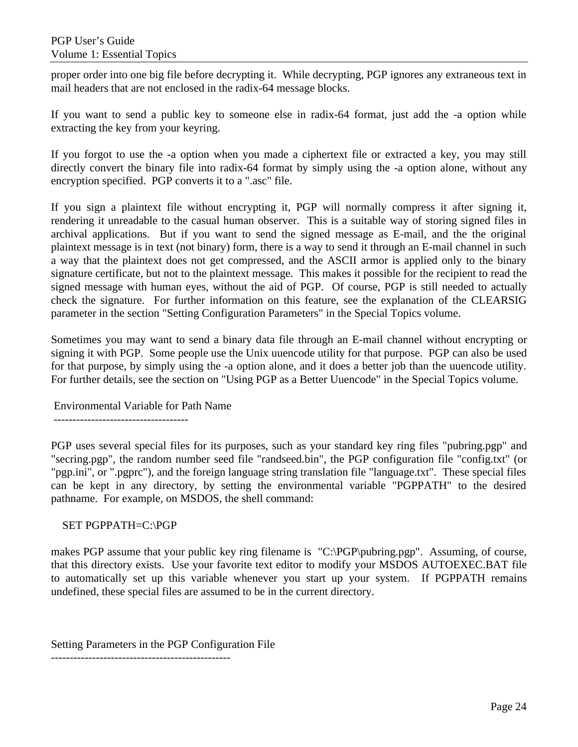proper order into one big file before decrypting it. While decrypting, PGP ignores any extraneous text in mail headers that are not enclosed in the radix-64 message blocks.

If you want to send a public key to someone else in radix-64 format, just add the -a option while extracting the key from your keyring.

If you forgot to use the -a option when you made a ciphertext file or extracted a key, you may still directly convert the binary file into radix-64 format by simply using the -a option alone, without any encryption specified. PGP converts it to a ".asc" file.

If you sign a plaintext file without encrypting it, PGP will normally compress it after signing it, rendering it unreadable to the casual human observer. This is a suitable way of storing signed files in archival applications. But if you want to send the signed message as E-mail, and the the original plaintext message is in text (not binary) form, there is a way to send it through an E-mail channel in such a way that the plaintext does not get compressed, and the ASCII armor is applied only to the binary signature certificate, but not to the plaintext message. This makes it possible for the recipient to read the signed message with human eyes, without the aid of PGP. Of course, PGP is still needed to actually check the signature. For further information on this feature, see the explanation of the CLEARSIG parameter in the section "Setting Configuration Parameters" in the Special Topics volume.

Sometimes you may want to send a binary data file through an E-mail channel without encrypting or signing it with PGP. Some people use the Unix uuencode utility for that purpose. PGP can also be used for that purpose, by simply using the -a option alone, and it does a better job than the uuencode utility. For further details, see the section on "Using PGP as a Better Uuencode" in the Special Topics volume.

Environmental Variable for Path Name

PGP uses several special files for its purposes, such as your standard key ring files "pubring.pgp" and "secring.pgp", the random number seed file "randseed.bin", the PGP configuration file "config.txt" (or "pgp.ini", or ".pgprc"), and the foreign language string translation file "language.txt". These special files can be kept in any directory, by setting the environmental variable "PGPPATH" to the desired pathname. For example, on MSDOS, the shell command:

## SET PGPPATH=C:\PGP

makes PGP assume that your public key ring filename is "C:\PGP\pubring.pgp". Assuming, of course, that this directory exists. Use your favorite text editor to modify your MSDOS AUTOEXEC.BAT file to automatically set up this variable whenever you start up your system. If PGPPATH remains undefined, these special files are assumed to be in the current directory.

Setting Parameters in the PGP Configuration File

------------------------------------------------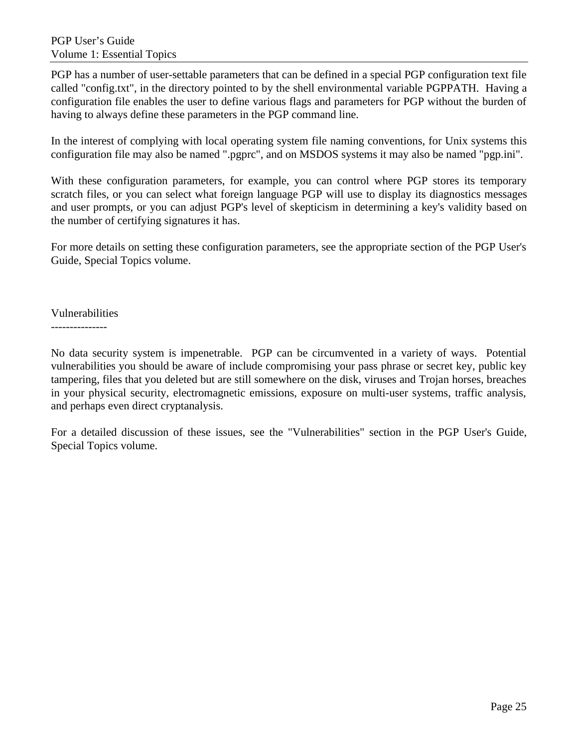PGP has a number of user-settable parameters that can be defined in a special PGP configuration text file called "config.txt", in the directory pointed to by the shell environmental variable PGPPATH. Having a configuration file enables the user to define various flags and parameters for PGP without the burden of having to always define these parameters in the PGP command line.

In the interest of complying with local operating system file naming conventions, for Unix systems this configuration file may also be named ".pgprc", and on MSDOS systems it may also be named "pgp.ini".

With these configuration parameters, for example, you can control where PGP stores its temporary scratch files, or you can select what foreign language PGP will use to display its diagnostics messages and user prompts, or you can adjust PGP's level of skepticism in determining a key's validity based on the number of certifying signatures it has.

For more details on setting these configuration parameters, see the appropriate section of the PGP User's Guide, Special Topics volume.

Vulnerabilities

---------------

No data security system is impenetrable. PGP can be circumvented in a variety of ways. Potential vulnerabilities you should be aware of include compromising your pass phrase or secret key, public key tampering, files that you deleted but are still somewhere on the disk, viruses and Trojan horses, breaches in your physical security, electromagnetic emissions, exposure on multi-user systems, traffic analysis, and perhaps even direct cryptanalysis.

For a detailed discussion of these issues, see the "Vulnerabilities" section in the PGP User's Guide, Special Topics volume.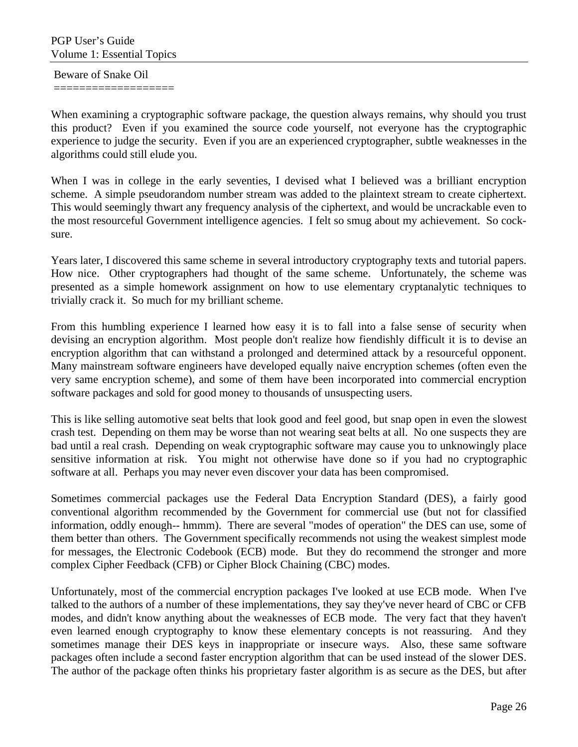Beware of Snake Oil ===================

When examining a cryptographic software package, the question always remains, why should you trust this product? Even if you examined the source code yourself, not everyone has the cryptographic experience to judge the security. Even if you are an experienced cryptographer, subtle weaknesses in the algorithms could still elude you.

When I was in college in the early seventies, I devised what I believed was a brilliant encryption scheme. A simple pseudorandom number stream was added to the plaintext stream to create ciphertext. This would seemingly thwart any frequency analysis of the ciphertext, and would be uncrackable even to the most resourceful Government intelligence agencies. I felt so smug about my achievement. So cocksure.

Years later, I discovered this same scheme in several introductory cryptography texts and tutorial papers. How nice. Other cryptographers had thought of the same scheme. Unfortunately, the scheme was presented as a simple homework assignment on how to use elementary cryptanalytic techniques to trivially crack it. So much for my brilliant scheme.

From this humbling experience I learned how easy it is to fall into a false sense of security when devising an encryption algorithm. Most people don't realize how fiendishly difficult it is to devise an encryption algorithm that can withstand a prolonged and determined attack by a resourceful opponent. Many mainstream software engineers have developed equally naive encryption schemes (often even the very same encryption scheme), and some of them have been incorporated into commercial encryption software packages and sold for good money to thousands of unsuspecting users.

This is like selling automotive seat belts that look good and feel good, but snap open in even the slowest crash test. Depending on them may be worse than not wearing seat belts at all. No one suspects they are bad until a real crash. Depending on weak cryptographic software may cause you to unknowingly place sensitive information at risk. You might not otherwise have done so if you had no cryptographic software at all. Perhaps you may never even discover your data has been compromised.

Sometimes commercial packages use the Federal Data Encryption Standard (DES), a fairly good conventional algorithm recommended by the Government for commercial use (but not for classified information, oddly enough-- hmmm). There are several "modes of operation" the DES can use, some of them better than others. The Government specifically recommends not using the weakest simplest mode for messages, the Electronic Codebook (ECB) mode. But they do recommend the stronger and more complex Cipher Feedback (CFB) or Cipher Block Chaining (CBC) modes.

Unfortunately, most of the commercial encryption packages I've looked at use ECB mode. When I've talked to the authors of a number of these implementations, they say they've never heard of CBC or CFB modes, and didn't know anything about the weaknesses of ECB mode. The very fact that they haven't even learned enough cryptography to know these elementary concepts is not reassuring. And they sometimes manage their DES keys in inappropriate or insecure ways. Also, these same software packages often include a second faster encryption algorithm that can be used instead of the slower DES. The author of the package often thinks his proprietary faster algorithm is as secure as the DES, but after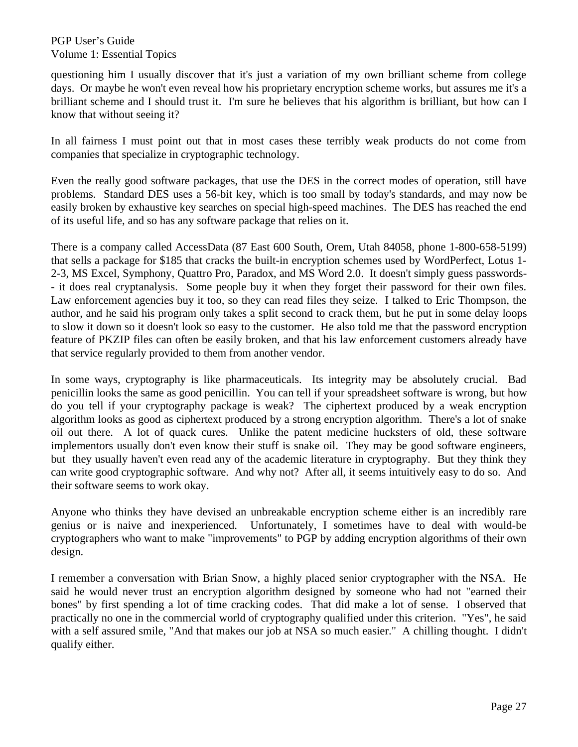questioning him I usually discover that it's just a variation of my own brilliant scheme from college days. Or maybe he won't even reveal how his proprietary encryption scheme works, but assures me it's a brilliant scheme and I should trust it. I'm sure he believes that his algorithm is brilliant, but how can I know that without seeing it?

In all fairness I must point out that in most cases these terribly weak products do not come from companies that specialize in cryptographic technology.

Even the really good software packages, that use the DES in the correct modes of operation, still have problems. Standard DES uses a 56-bit key, which is too small by today's standards, and may now be easily broken by exhaustive key searches on special high-speed machines. The DES has reached the end of its useful life, and so has any software package that relies on it.

There is a company called AccessData (87 East 600 South, Orem, Utah 84058, phone 1-800-658-5199) that sells a package for \$185 that cracks the built-in encryption schemes used by WordPerfect, Lotus 1- 2-3, MS Excel, Symphony, Quattro Pro, Paradox, and MS Word 2.0. It doesn't simply guess passwords- - it does real cryptanalysis. Some people buy it when they forget their password for their own files. Law enforcement agencies buy it too, so they can read files they seize. I talked to Eric Thompson, the author, and he said his program only takes a split second to crack them, but he put in some delay loops to slow it down so it doesn't look so easy to the customer. He also told me that the password encryption feature of PKZIP files can often be easily broken, and that his law enforcement customers already have that service regularly provided to them from another vendor.

In some ways, cryptography is like pharmaceuticals. Its integrity may be absolutely crucial. Bad penicillin looks the same as good penicillin. You can tell if your spreadsheet software is wrong, but how do you tell if your cryptography package is weak? The ciphertext produced by a weak encryption algorithm looks as good as ciphertext produced by a strong encryption algorithm. There's a lot of snake oil out there. A lot of quack cures. Unlike the patent medicine hucksters of old, these software implementors usually don't even know their stuff is snake oil. They may be good software engineers, but they usually haven't even read any of the academic literature in cryptography. But they think they can write good cryptographic software. And why not? After all, it seems intuitively easy to do so. And their software seems to work okay.

Anyone who thinks they have devised an unbreakable encryption scheme either is an incredibly rare genius or is naive and inexperienced. Unfortunately, I sometimes have to deal with would-be cryptographers who want to make "improvements" to PGP by adding encryption algorithms of their own design.

I remember a conversation with Brian Snow, a highly placed senior cryptographer with the NSA. He said he would never trust an encryption algorithm designed by someone who had not "earned their bones" by first spending a lot of time cracking codes. That did make a lot of sense. I observed that practically no one in the commercial world of cryptography qualified under this criterion. "Yes", he said with a self assured smile, "And that makes our job at NSA so much easier." A chilling thought. I didn't qualify either.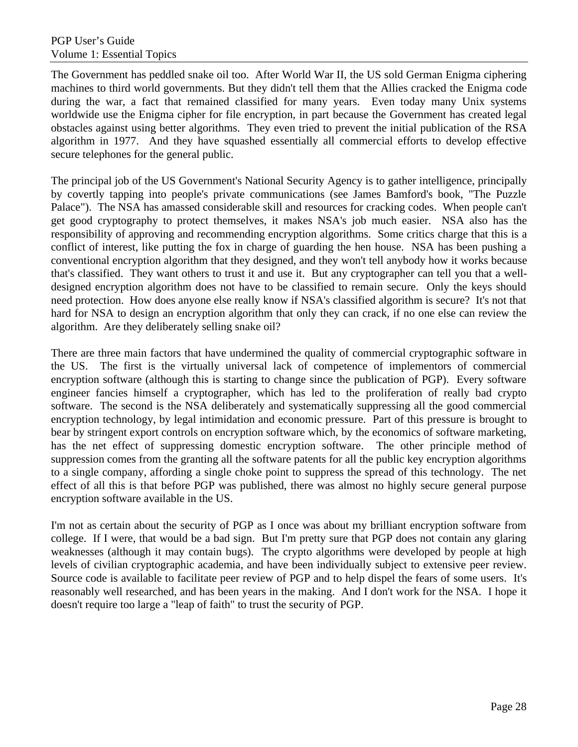The Government has peddled snake oil too. After World War II, the US sold German Enigma ciphering machines to third world governments. But they didn't tell them that the Allies cracked the Enigma code during the war, a fact that remained classified for many years. Even today many Unix systems worldwide use the Enigma cipher for file encryption, in part because the Government has created legal obstacles against using better algorithms. They even tried to prevent the initial publication of the RSA algorithm in 1977. And they have squashed essentially all commercial efforts to develop effective secure telephones for the general public.

The principal job of the US Government's National Security Agency is to gather intelligence, principally by covertly tapping into people's private communications (see James Bamford's book, "The Puzzle Palace"). The NSA has amassed considerable skill and resources for cracking codes. When people can't get good cryptography to protect themselves, it makes NSA's job much easier. NSA also has the responsibility of approving and recommending encryption algorithms. Some critics charge that this is a conflict of interest, like putting the fox in charge of guarding the hen house. NSA has been pushing a conventional encryption algorithm that they designed, and they won't tell anybody how it works because that's classified. They want others to trust it and use it. But any cryptographer can tell you that a welldesigned encryption algorithm does not have to be classified to remain secure. Only the keys should need protection. How does anyone else really know if NSA's classified algorithm is secure? It's not that hard for NSA to design an encryption algorithm that only they can crack, if no one else can review the algorithm. Are they deliberately selling snake oil?

There are three main factors that have undermined the quality of commercial cryptographic software in the US. The first is the virtually universal lack of competence of implementors of commercial encryption software (although this is starting to change since the publication of PGP). Every software engineer fancies himself a cryptographer, which has led to the proliferation of really bad crypto software. The second is the NSA deliberately and systematically suppressing all the good commercial encryption technology, by legal intimidation and economic pressure. Part of this pressure is brought to bear by stringent export controls on encryption software which, by the economics of software marketing, has the net effect of suppressing domestic encryption software. The other principle method of suppression comes from the granting all the software patents for all the public key encryption algorithms to a single company, affording a single choke point to suppress the spread of this technology. The net effect of all this is that before PGP was published, there was almost no highly secure general purpose encryption software available in the US.

I'm not as certain about the security of PGP as I once was about my brilliant encryption software from college. If I were, that would be a bad sign. But I'm pretty sure that PGP does not contain any glaring weaknesses (although it may contain bugs). The crypto algorithms were developed by people at high levels of civilian cryptographic academia, and have been individually subject to extensive peer review. Source code is available to facilitate peer review of PGP and to help dispel the fears of some users. It's reasonably well researched, and has been years in the making. And I don't work for the NSA. I hope it doesn't require too large a "leap of faith" to trust the security of PGP.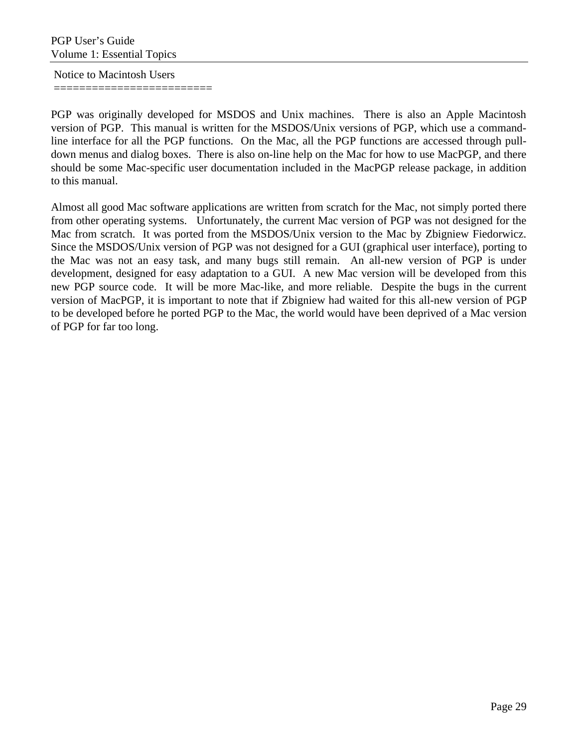## Notice to Macintosh Users

==========================

PGP was originally developed for MSDOS and Unix machines. There is also an Apple Macintosh version of PGP. This manual is written for the MSDOS/Unix versions of PGP, which use a commandline interface for all the PGP functions. On the Mac, all the PGP functions are accessed through pulldown menus and dialog boxes. There is also on-line help on the Mac for how to use MacPGP, and there should be some Mac-specific user documentation included in the MacPGP release package, in addition to this manual.

Almost all good Mac software applications are written from scratch for the Mac, not simply ported there from other operating systems. Unfortunately, the current Mac version of PGP was not designed for the Mac from scratch. It was ported from the MSDOS/Unix version to the Mac by Zbigniew Fiedorwicz. Since the MSDOS/Unix version of PGP was not designed for a GUI (graphical user interface), porting to the Mac was not an easy task, and many bugs still remain. An all-new version of PGP is under development, designed for easy adaptation to a GUI. A new Mac version will be developed from this new PGP source code. It will be more Mac-like, and more reliable. Despite the bugs in the current version of MacPGP, it is important to note that if Zbigniew had waited for this all-new version of PGP to be developed before he ported PGP to the Mac, the world would have been deprived of a Mac version of PGP for far too long.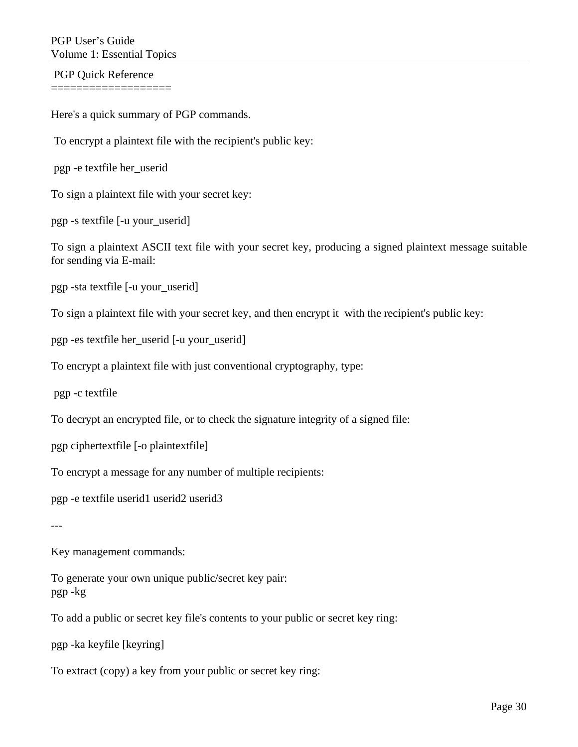### PGP Quick Reference

===================

Here's a quick summary of PGP commands.

To encrypt a plaintext file with the recipient's public key:

pgp -e textfile her\_userid

To sign a plaintext file with your secret key:

pgp -s textfile [-u your\_userid]

To sign a plaintext ASCII text file with your secret key, producing a signed plaintext message suitable for sending via E-mail:

pgp -sta textfile [-u your\_userid]

To sign a plaintext file with your secret key, and then encrypt it with the recipient's public key:

pgp -es textfile her\_userid [-u your\_userid]

To encrypt a plaintext file with just conventional cryptography, type:

pgp -c textfile

To decrypt an encrypted file, or to check the signature integrity of a signed file:

pgp ciphertextfile [-o plaintextfile]

To encrypt a message for any number of multiple recipients:

pgp -e textfile userid1 userid2 userid3

---

Key management commands:

To generate your own unique public/secret key pair: pgp -kg

To add a public or secret key file's contents to your public or secret key ring:

pgp -ka keyfile [keyring]

To extract (copy) a key from your public or secret key ring: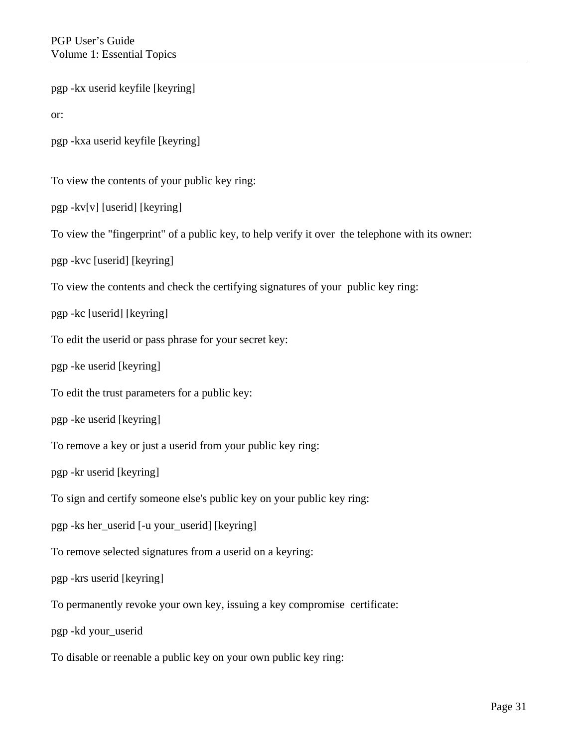pgp -kx userid keyfile [keyring] or: pgp -kxa userid keyfile [keyring] To view the contents of your public key ring: pgp -kv[v] [userid] [keyring] To view the "fingerprint" of a public key, to help verify it over the telephone with its owner: pgp -kvc [userid] [keyring] To view the contents and check the certifying signatures of your public key ring: pgp -kc [userid] [keyring] To edit the userid or pass phrase for your secret key: pgp -ke userid [keyring] To edit the trust parameters for a public key: pgp -ke userid [keyring] To remove a key or just a userid from your public key ring: pgp -kr userid [keyring] To sign and certify someone else's public key on your public key ring: pgp -ks her\_userid [-u your\_userid] [keyring] To remove selected signatures from a userid on a keyring: pgp -krs userid [keyring] To permanently revoke your own key, issuing a key compromise certificate: pgp -kd your\_userid

To disable or reenable a public key on your own public key ring: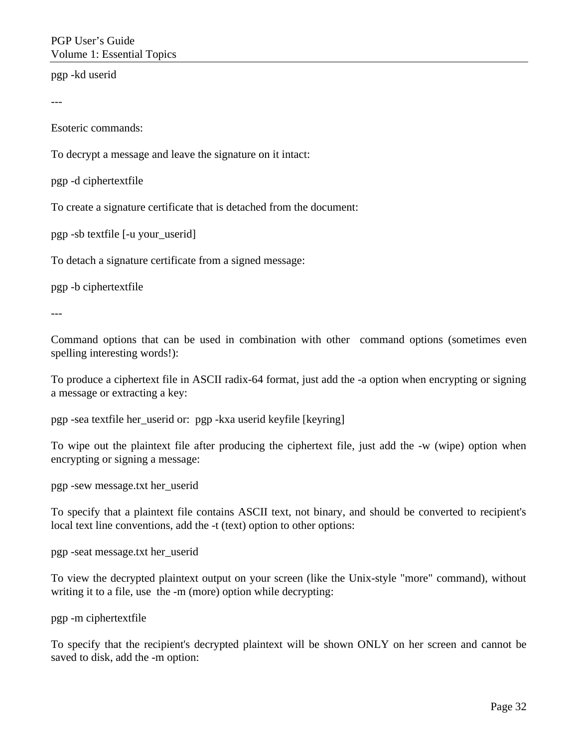pgp -kd userid

---

Esoteric commands:

To decrypt a message and leave the signature on it intact:

pgp -d ciphertextfile

To create a signature certificate that is detached from the document:

pgp -sb textfile [-u your\_userid]

To detach a signature certificate from a signed message:

pgp -b ciphertextfile

---

Command options that can be used in combination with other command options (sometimes even spelling interesting words!):

To produce a ciphertext file in ASCII radix-64 format, just add the -a option when encrypting or signing a message or extracting a key:

pgp -sea textfile her\_userid or: pgp -kxa userid keyfile [keyring]

To wipe out the plaintext file after producing the ciphertext file, just add the -w (wipe) option when encrypting or signing a message:

pgp -sew message.txt her\_userid

To specify that a plaintext file contains ASCII text, not binary, and should be converted to recipient's local text line conventions, add the -t (text) option to other options:

pgp -seat message.txt her\_userid

To view the decrypted plaintext output on your screen (like the Unix-style "more" command), without writing it to a file, use the -m (more) option while decrypting:

pgp -m ciphertextfile

To specify that the recipient's decrypted plaintext will be shown ONLY on her screen and cannot be saved to disk, add the -m option: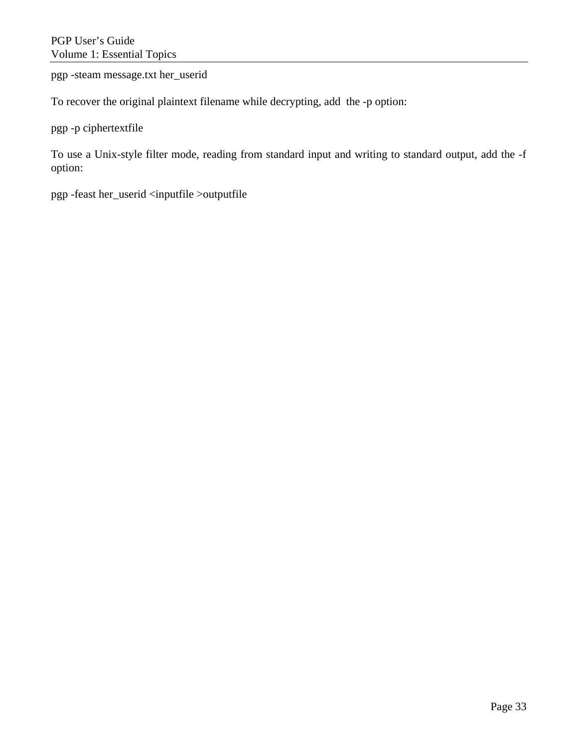pgp -steam message.txt her\_userid

To recover the original plaintext filename while decrypting, add the -p option:

pgp -p ciphertextfile

To use a Unix-style filter mode, reading from standard input and writing to standard output, add the -f option:

pgp -feast her\_userid <inputfile >outputfile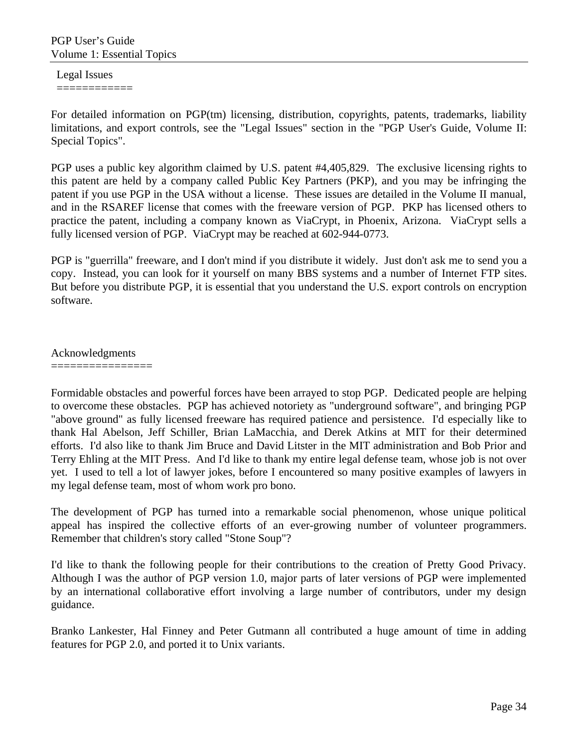Legal Issues ============

For detailed information on PGP(tm) licensing, distribution, copyrights, patents, trademarks, liability limitations, and export controls, see the "Legal Issues" section in the "PGP User's Guide, Volume II: Special Topics".

PGP uses a public key algorithm claimed by U.S. patent #4,405,829. The exclusive licensing rights to this patent are held by a company called Public Key Partners (PKP), and you may be infringing the patent if you use PGP in the USA without a license. These issues are detailed in the Volume II manual, and in the RSAREF license that comes with the freeware version of PGP. PKP has licensed others to practice the patent, including a company known as ViaCrypt, in Phoenix, Arizona. ViaCrypt sells a fully licensed version of PGP. ViaCrypt may be reached at 602-944-0773.

PGP is "guerrilla" freeware, and I don't mind if you distribute it widely. Just don't ask me to send you a copy. Instead, you can look for it yourself on many BBS systems and a number of Internet FTP sites. But before you distribute PGP, it is essential that you understand the U.S. export controls on encryption software.

Acknowledgments

================

Formidable obstacles and powerful forces have been arrayed to stop PGP. Dedicated people are helping to overcome these obstacles. PGP has achieved notoriety as "underground software", and bringing PGP "above ground" as fully licensed freeware has required patience and persistence. I'd especially like to thank Hal Abelson, Jeff Schiller, Brian LaMacchia, and Derek Atkins at MIT for their determined efforts. I'd also like to thank Jim Bruce and David Litster in the MIT administration and Bob Prior and Terry Ehling at the MIT Press. And I'd like to thank my entire legal defense team, whose job is not over yet. I used to tell a lot of lawyer jokes, before I encountered so many positive examples of lawyers in my legal defense team, most of whom work pro bono.

The development of PGP has turned into a remarkable social phenomenon, whose unique political appeal has inspired the collective efforts of an ever-growing number of volunteer programmers. Remember that children's story called "Stone Soup"?

I'd like to thank the following people for their contributions to the creation of Pretty Good Privacy. Although I was the author of PGP version 1.0, major parts of later versions of PGP were implemented by an international collaborative effort involving a large number of contributors, under my design guidance.

Branko Lankester, Hal Finney and Peter Gutmann all contributed a huge amount of time in adding features for PGP 2.0, and ported it to Unix variants.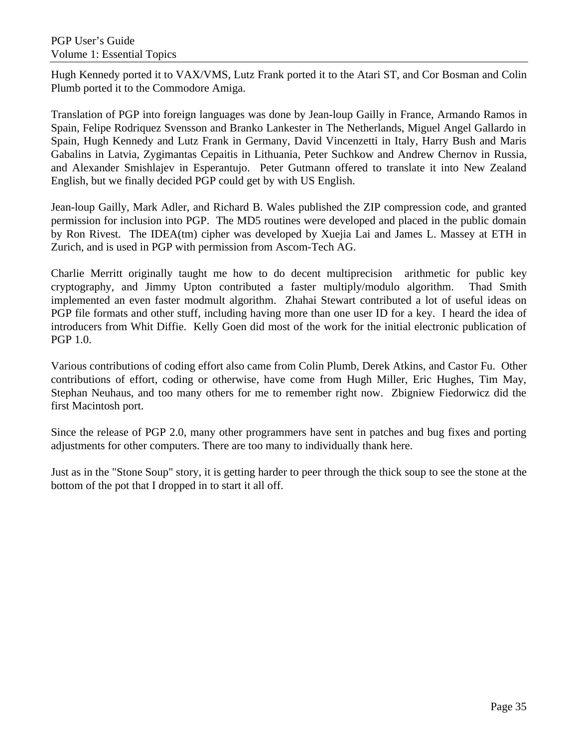Hugh Kennedy ported it to VAX/VMS, Lutz Frank ported it to the Atari ST, and Cor Bosman and Colin Plumb ported it to the Commodore Amiga.

Translation of PGP into foreign languages was done by Jean-loup Gailly in France, Armando Ramos in Spain, Felipe Rodriquez Svensson and Branko Lankester in The Netherlands, Miguel Angel Gallardo in Spain, Hugh Kennedy and Lutz Frank in Germany, David Vincenzetti in Italy, Harry Bush and Maris Gabalins in Latvia, Zygimantas Cepaitis in Lithuania, Peter Suchkow and Andrew Chernov in Russia, and Alexander Smishlajev in Esperantujo. Peter Gutmann offered to translate it into New Zealand English, but we finally decided PGP could get by with US English.

Jean-loup Gailly, Mark Adler, and Richard B. Wales published the ZIP compression code, and granted permission for inclusion into PGP. The MD5 routines were developed and placed in the public domain by Ron Rivest. The IDEA(tm) cipher was developed by Xuejia Lai and James L. Massey at ETH in Zurich, and is used in PGP with permission from Ascom-Tech AG.

Charlie Merritt originally taught me how to do decent multiprecision arithmetic for public key cryptography, and Jimmy Upton contributed a faster multiply/modulo algorithm. Thad Smith implemented an even faster modmult algorithm. Zhahai Stewart contributed a lot of useful ideas on PGP file formats and other stuff, including having more than one user ID for a key. I heard the idea of introducers from Whit Diffie. Kelly Goen did most of the work for the initial electronic publication of PGP 1.0.

Various contributions of coding effort also came from Colin Plumb, Derek Atkins, and Castor Fu. Other contributions of effort, coding or otherwise, have come from Hugh Miller, Eric Hughes, Tim May, Stephan Neuhaus, and too many others for me to remember right now. Zbigniew Fiedorwicz did the first Macintosh port.

Since the release of PGP 2.0, many other programmers have sent in patches and bug fixes and porting adjustments for other computers. There are too many to individually thank here.

Just as in the "Stone Soup" story, it is getting harder to peer through the thick soup to see the stone at the bottom of the pot that I dropped in to start it all off.